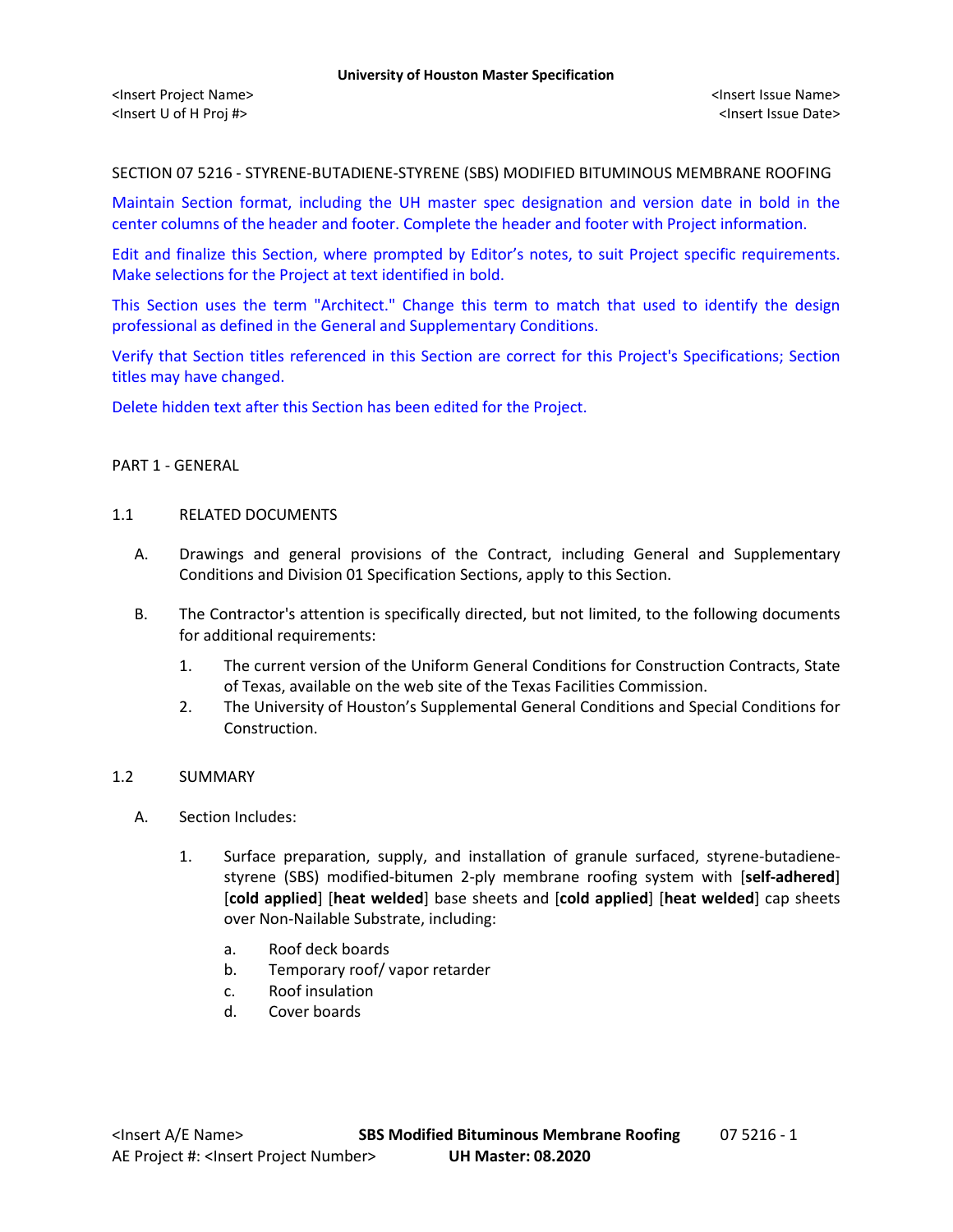SECTION 07 5216 - STYRENE-BUTADIENE-STYRENE (SBS) MODIFIED BITUMINOUS MEMBRANE ROOFING

Maintain Section format, including the UH master spec designation and version date in bold in the center columns of the header and footer. Complete the header and footer with Project information.

Edit and finalize this Section, where prompted by Editor's notes, to suit Project specific requirements. Make selections for the Project at text identified in bold.

This Section uses the term "Architect." Change this term to match that used to identify the design professional as defined in the General and Supplementary Conditions.

Verify that Section titles referenced in this Section are correct for this Project's Specifications; Section titles may have changed.

Delete hidden text after this Section has been edited for the Project.

## PART 1 - GENERAL

### 1.1 RELATED DOCUMENTS

- A. Drawings and general provisions of the Contract, including General and Supplementary Conditions and Division 01 Specification Sections, apply to this Section.
- B. The Contractor's attention is specifically directed, but not limited, to the following documents for additional requirements:
	- 1. The current version of the Uniform General Conditions for Construction Contracts, State of Texas, available on the web site of the Texas Facilities Commission.
	- 2. The University of Houston's Supplemental General Conditions and Special Conditions for Construction.

### 1.2 SUMMARY

- A. Section Includes:
	- 1. Surface preparation, supply, and installation of granule surfaced, styrene-butadienestyrene (SBS) modified-bitumen 2-ply membrane roofing system with [**self-adhered**] [**cold applied**] [**heat welded**] base sheets and [**cold applied**] [**heat welded**] cap sheets over Non-Nailable Substrate, including:
		- a. Roof deck boards
		- b. Temporary roof/ vapor retarder
		- c. Roof insulation
		- d. Cover boards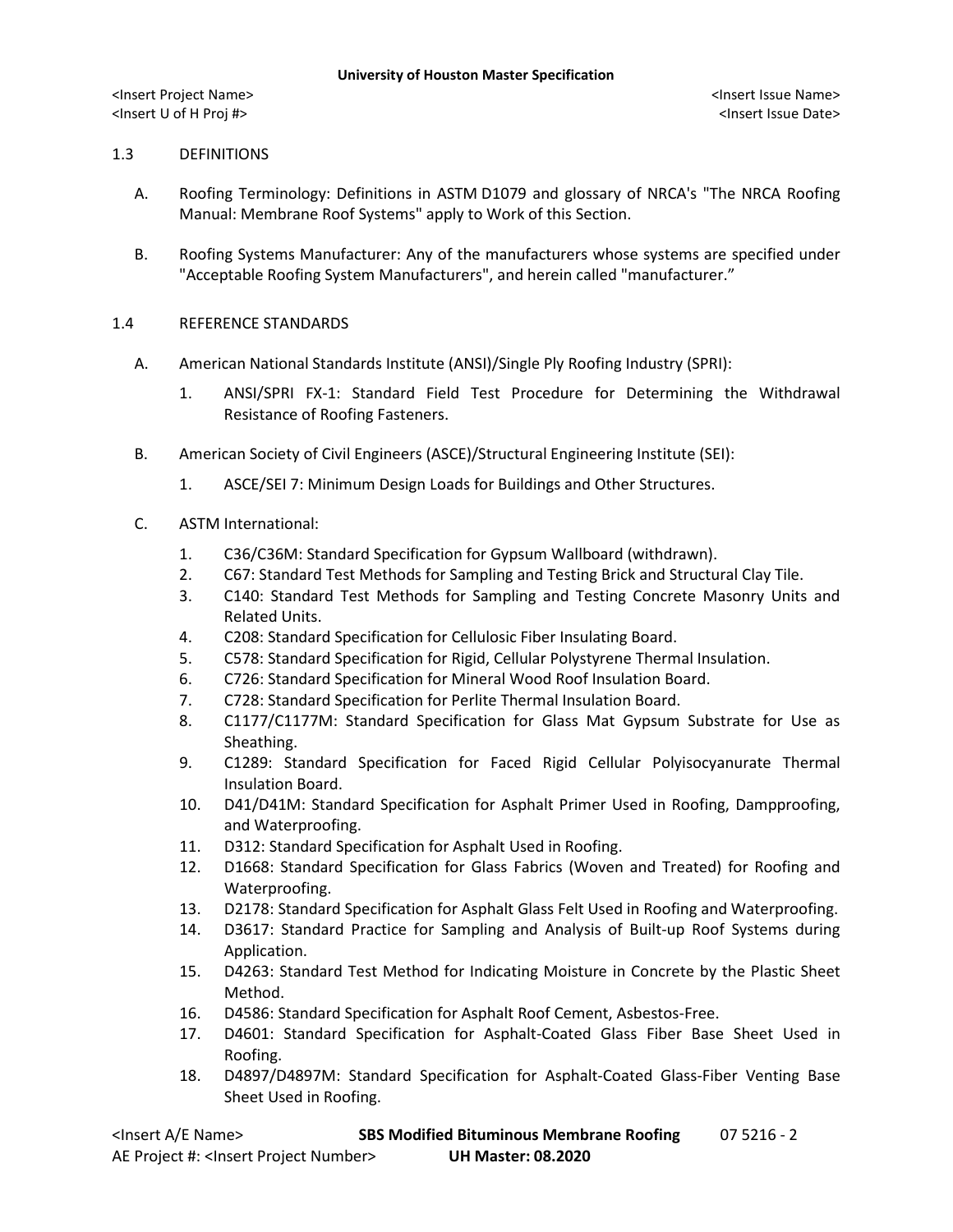## 1.3 DEFINITIONS

- A. Roofing Terminology: Definitions in ASTM D1079 and glossary of NRCA's "The NRCA Roofing Manual: Membrane Roof Systems" apply to Work of this Section.
- B. Roofing Systems Manufacturer: Any of the manufacturers whose systems are specified under "Acceptable Roofing System Manufacturers", and herein called "manufacturer."

## 1.4 REFERENCE STANDARDS

- A. American National Standards Institute (ANSI)/Single Ply Roofing Industry (SPRI):
	- 1. ANSI/SPRI FX-1: Standard Field Test Procedure for Determining the Withdrawal Resistance of Roofing Fasteners.
- B. American Society of Civil Engineers (ASCE)/Structural Engineering Institute (SEI):
	- 1. ASCE/SEI 7: Minimum Design Loads for Buildings and Other Structures.
- C. ASTM International:
	- 1. C36/C36M: Standard Specification for Gypsum Wallboard (withdrawn).
	- 2. C67: Standard Test Methods for Sampling and Testing Brick and Structural Clay Tile.
	- 3. C140: Standard Test Methods for Sampling and Testing Concrete Masonry Units and Related Units.
	- 4. C208: Standard Specification for Cellulosic Fiber Insulating Board.
	- 5. C578: Standard Specification for Rigid, Cellular Polystyrene Thermal Insulation.
	- 6. C726: Standard Specification for Mineral Wood Roof Insulation Board.
	- 7. C728: Standard Specification for Perlite Thermal Insulation Board.
	- 8. C1177/C1177M: Standard Specification for Glass Mat Gypsum Substrate for Use as Sheathing.
	- 9. C1289: Standard Specification for Faced Rigid Cellular Polyisocyanurate Thermal Insulation Board.
	- 10. D41/D41M: Standard Specification for Asphalt Primer Used in Roofing, Dampproofing, and Waterproofing.
	- 11. D312: Standard Specification for Asphalt Used in Roofing.
	- 12. D1668: Standard Specification for Glass Fabrics (Woven and Treated) for Roofing and Waterproofing.
	- 13. D2178: Standard Specification for Asphalt Glass Felt Used in Roofing and Waterproofing.
	- 14. D3617: Standard Practice for Sampling and Analysis of Built-up Roof Systems during Application.
	- 15. D4263: Standard Test Method for Indicating Moisture in Concrete by the Plastic Sheet Method.
	- 16. D4586: Standard Specification for Asphalt Roof Cement, Asbestos-Free.
	- 17. D4601: Standard Specification for Asphalt-Coated Glass Fiber Base Sheet Used in Roofing.
	- 18. D4897/D4897M: Standard Specification for Asphalt-Coated Glass-Fiber Venting Base Sheet Used in Roofing.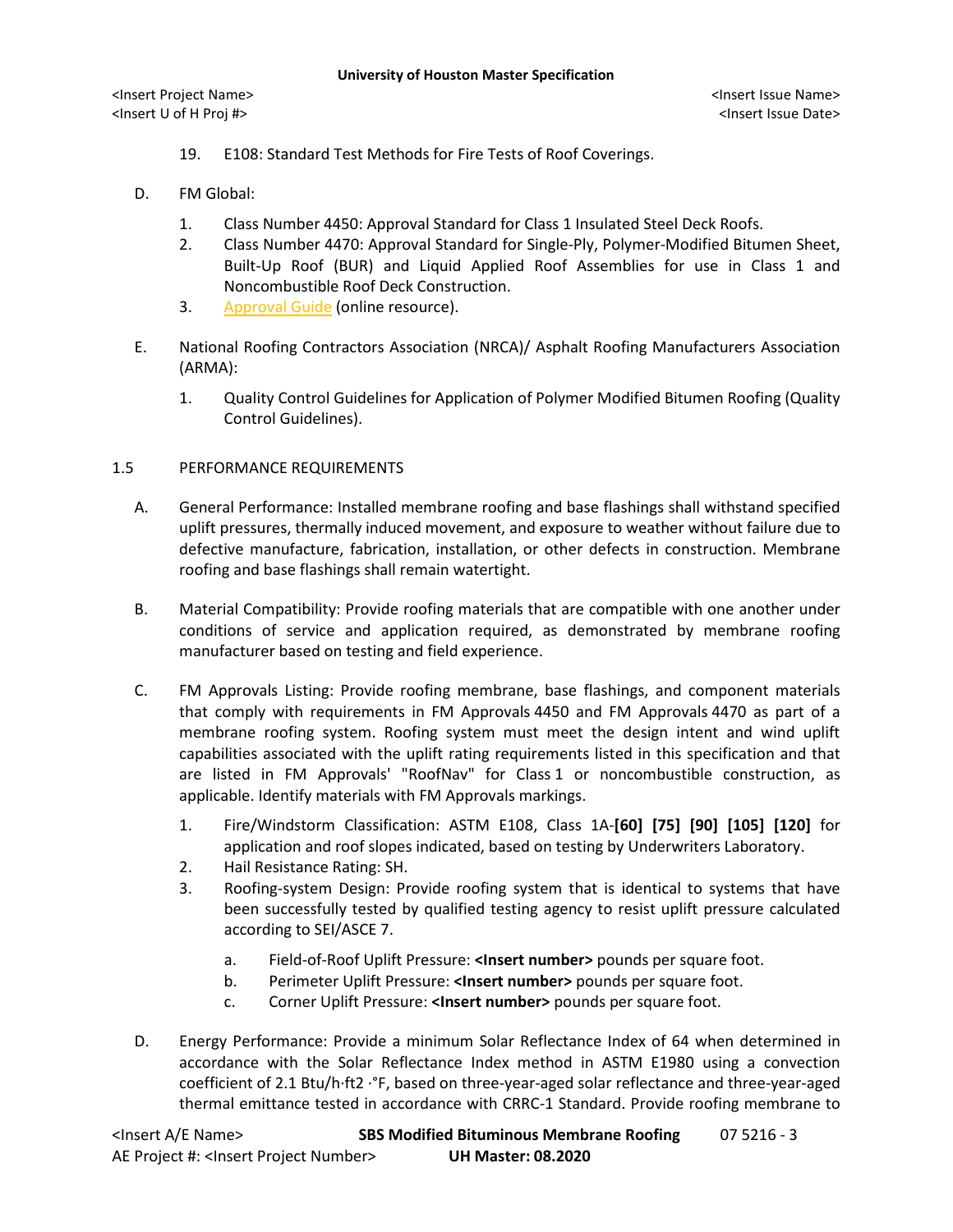- 19. E108: Standard Test Methods for Fire Tests of Roof Coverings.
- D. FM Global:
	- 1. Class Number 4450: Approval Standard for Class 1 Insulated Steel Deck Roofs.
	- 2. Class Number 4470: Approval Standard for Single-Ply, Polymer-Modified Bitumen Sheet, Built-Up Roof (BUR) and Liquid Applied Roof Assemblies for use in Class 1 and Noncombustible Roof Deck Construction.
	- 3. [Approval Guide](http://www.fmglobal.com/page.aspx?id=50040000) (online resource).
- E. National Roofing Contractors Association (NRCA)/ Asphalt Roofing Manufacturers Association (ARMA):
	- 1. Quality Control Guidelines for Application of Polymer Modified Bitumen Roofing (Quality Control Guidelines).

# 1.5 PERFORMANCE REQUIREMENTS

- A. General Performance: Installed membrane roofing and base flashings shall withstand specified uplift pressures, thermally induced movement, and exposure to weather without failure due to defective manufacture, fabrication, installation, or other defects in construction. Membrane roofing and base flashings shall remain watertight.
- B. Material Compatibility: Provide roofing materials that are compatible with one another under conditions of service and application required, as demonstrated by membrane roofing manufacturer based on testing and field experience.
- C. FM Approvals Listing: Provide roofing membrane, base flashings, and component materials that comply with requirements in FM Approvals 4450 and FM Approvals 4470 as part of a membrane roofing system. Roofing system must meet the design intent and wind uplift capabilities associated with the uplift rating requirements listed in this specification and that are listed in FM Approvals' "RoofNav" for Class 1 or noncombustible construction, as applicable. Identify materials with FM Approvals markings.
	- 1. Fire/Windstorm Classification: ASTM E108, Class 1A-**[60] [75] [90] [105] [120]** for application and roof slopes indicated, based on testing by Underwriters Laboratory.
	- 2. Hail Resistance Rating: SH.
	- 3. Roofing-system Design: Provide roofing system that is identical to systems that have been successfully tested by qualified testing agency to resist uplift pressure calculated according to SEI/ASCE 7.
		- a. Field-of-Roof Uplift Pressure: **<Insert number>** pounds per square foot.
		- b. Perimeter Uplift Pressure: **<Insert number>** pounds per square foot.
		- c. Corner Uplift Pressure: **<Insert number>** pounds per square foot.
- D. Energy Performance: Provide a minimum Solar Reflectance Index of 64 when determined in accordance with the Solar Reflectance Index method in ASTM E1980 using a convection coefficient of 2.1 Btu/h·ft2 ·°F, based on three-year-aged solar reflectance and three-year-aged thermal emittance tested in accordance with CRRC-1 Standard. Provide roofing membrane to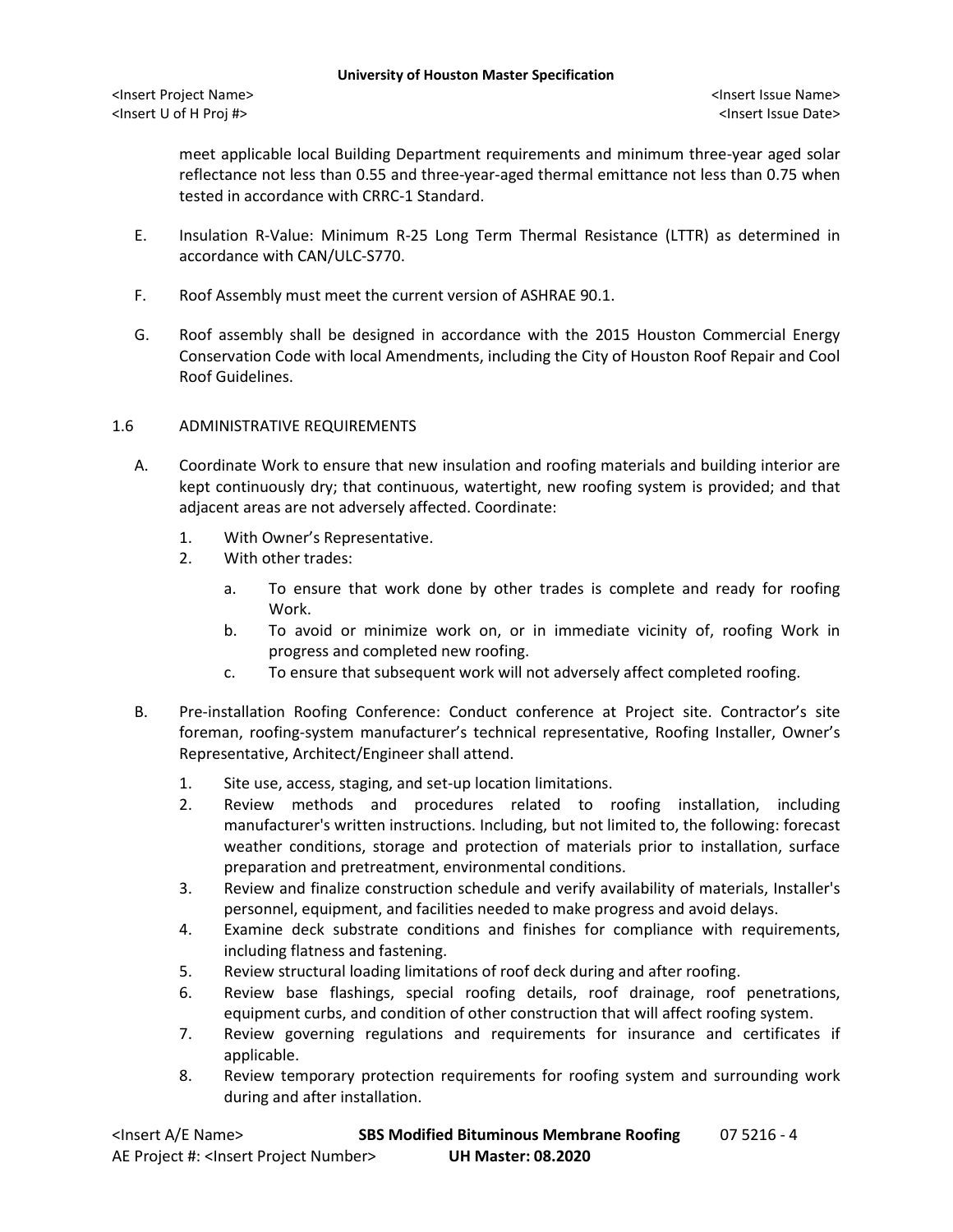meet applicable local Building Department requirements and minimum three-year aged solar reflectance not less than 0.55 and three-year-aged thermal emittance not less than 0.75 when tested in accordance with CRRC-1 Standard.

- E. Insulation R-Value: Minimum R-25 Long Term Thermal Resistance (LTTR) as determined in accordance with CAN/ULC-S770.
- F. Roof Assembly must meet the current version of ASHRAE 90.1.
- G. Roof assembly shall be designed in accordance with the 2015 Houston Commercial Energy Conservation Code with local Amendments, including the City of Houston Roof Repair and Cool Roof Guidelines.

## 1.6 ADMINISTRATIVE REQUIREMENTS

- A. Coordinate Work to ensure that new insulation and roofing materials and building interior are kept continuously dry; that continuous, watertight, new roofing system is provided; and that adjacent areas are not adversely affected. Coordinate:
	- 1. With Owner's Representative.
	- 2. With other trades:
		- a. To ensure that work done by other trades is complete and ready for roofing Work.
		- b. To avoid or minimize work on, or in immediate vicinity of, roofing Work in progress and completed new roofing.
		- c. To ensure that subsequent work will not adversely affect completed roofing.
- B. Pre-installation Roofing Conference: Conduct conference at Project site. Contractor's site foreman, roofing-system manufacturer's technical representative, Roofing Installer, Owner's Representative, Architect/Engineer shall attend.
	- 1. Site use, access, staging, and set-up location limitations.
	- 2. Review methods and procedures related to roofing installation, including manufacturer's written instructions. Including, but not limited to, the following: forecast weather conditions, storage and protection of materials prior to installation, surface preparation and pretreatment, environmental conditions.
	- 3. Review and finalize construction schedule and verify availability of materials, Installer's personnel, equipment, and facilities needed to make progress and avoid delays.
	- 4. Examine deck substrate conditions and finishes for compliance with requirements, including flatness and fastening.
	- 5. Review structural loading limitations of roof deck during and after roofing.
	- 6. Review base flashings, special roofing details, roof drainage, roof penetrations, equipment curbs, and condition of other construction that will affect roofing system.
	- 7. Review governing regulations and requirements for insurance and certificates if applicable.
	- 8. Review temporary protection requirements for roofing system and surrounding work during and after installation.

| <lnsert a="" e="" name=""></lnsert>                  | <b>SBS Modified Bituminous Membrane Roofing</b> | 07 5216 - 4 |
|------------------------------------------------------|-------------------------------------------------|-------------|
| AE Project #: <lnsert number="" project=""></lnsert> | <b>UH Master: 08.2020</b>                       |             |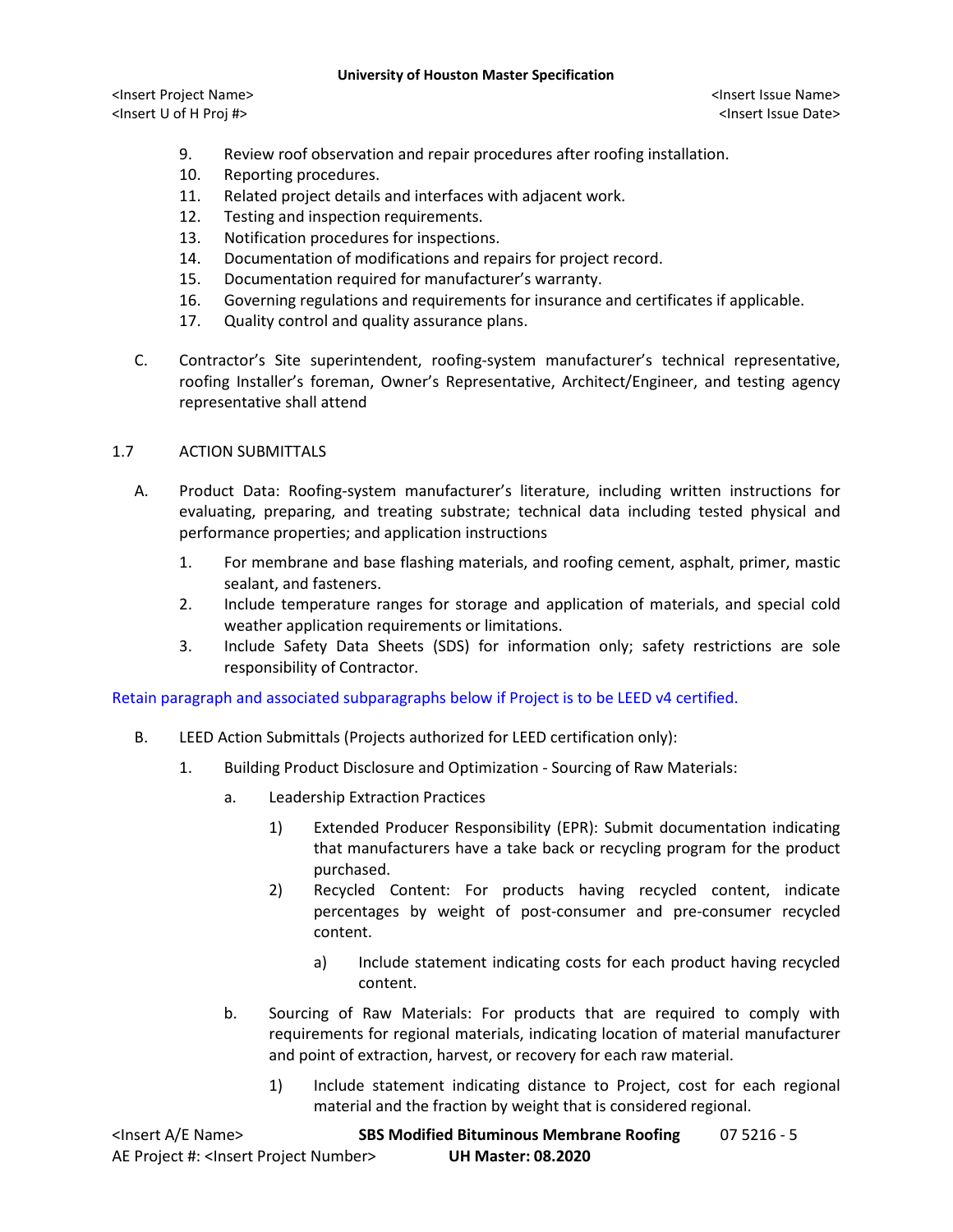#### **University of Houston Master Specification**

<Insert Project Name> <Insert Issue Name> <Insert U of H Proj #> <Insert Issue Date>

- 9. Review roof observation and repair procedures after roofing installation.
- 10. Reporting procedures.
- 11. Related project details and interfaces with adjacent work.
- 12. Testing and inspection requirements.
- 13. Notification procedures for inspections.
- 14. Documentation of modifications and repairs for project record.
- 15. Documentation required for manufacturer's warranty.
- 16. Governing regulations and requirements for insurance and certificates if applicable.
- 17. Quality control and quality assurance plans.
- C. Contractor's Site superintendent, roofing-system manufacturer's technical representative, roofing Installer's foreman, Owner's Representative, Architect/Engineer, and testing agency representative shall attend

# 1.7 ACTION SUBMITTALS

- A. Product Data: Roofing-system manufacturer's literature, including written instructions for evaluating, preparing, and treating substrate; technical data including tested physical and performance properties; and application instructions
	- 1. For membrane and base flashing materials, and roofing cement, asphalt, primer, mastic sealant, and fasteners.
	- 2. Include temperature ranges for storage and application of materials, and special cold weather application requirements or limitations.
	- 3. Include Safety Data Sheets (SDS) for information only; safety restrictions are sole responsibility of Contractor.

Retain paragraph and associated subparagraphs below if Project is to be LEED v4 certified.

- B. LEED Action Submittals (Projects authorized for LEED certification only):
	- 1. Building Product Disclosure and Optimization Sourcing of Raw Materials:
		- a. Leadership Extraction Practices
			- 1) Extended Producer Responsibility (EPR): Submit documentation indicating that manufacturers have a take back or recycling program for the product purchased.
			- 2) Recycled Content: For products having recycled content, indicate percentages by weight of post-consumer and pre-consumer recycled content.
				- a) Include statement indicating costs for each product having recycled content.
		- b. Sourcing of Raw Materials: For products that are required to comply with requirements for regional materials, indicating location of material manufacturer and point of extraction, harvest, or recovery for each raw material.
			- 1) Include statement indicating distance to Project, cost for each regional material and the fraction by weight that is considered regional.

| <lnsert a="" e="" name=""></lnsert>                  | <b>SBS Modified Bituminous Membrane Roofing</b> | 07 5216 - 5 |
|------------------------------------------------------|-------------------------------------------------|-------------|
| AE Project #: <lnsert number="" project=""></lnsert> | <b>UH Master: 08.2020</b>                       |             |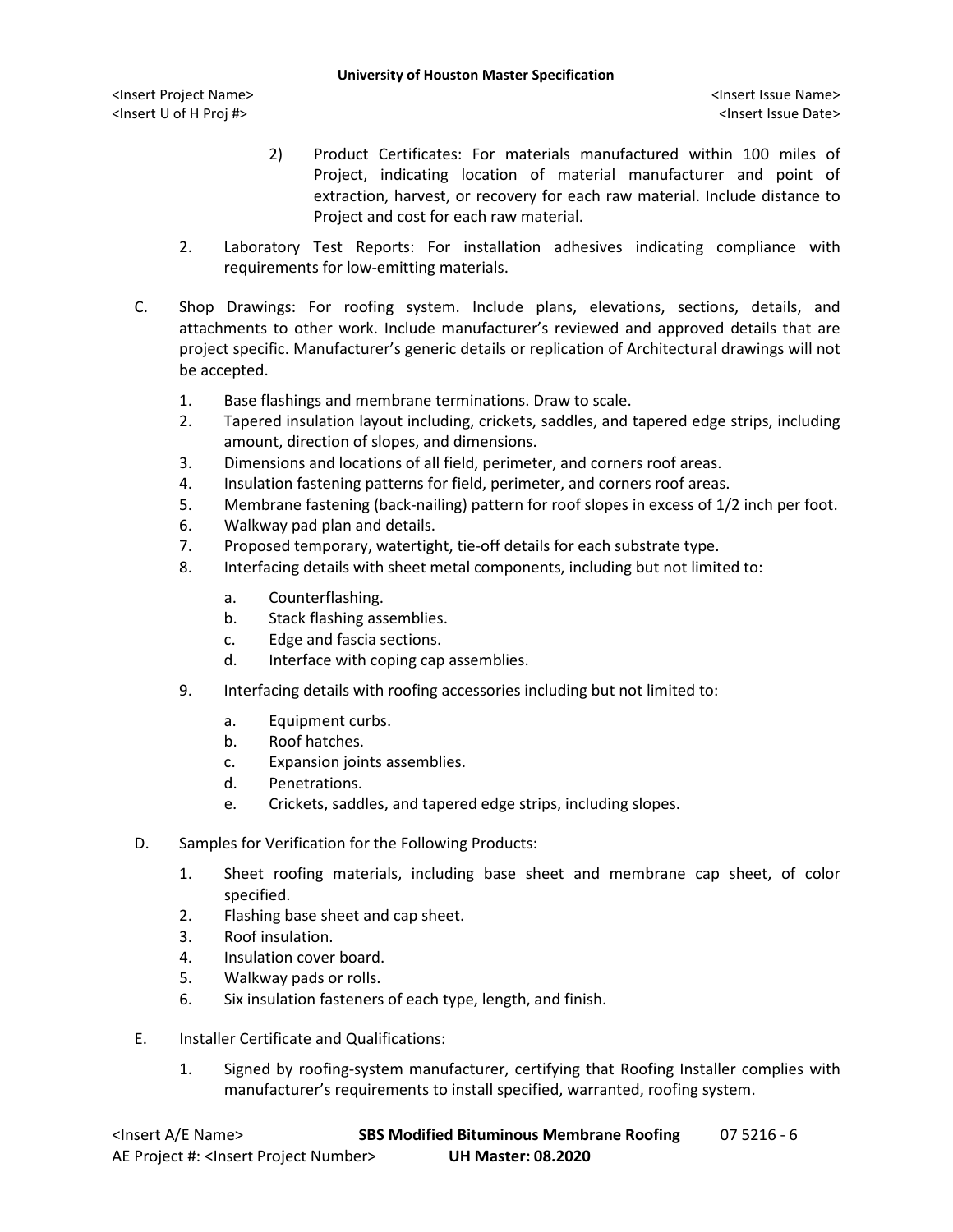- 2) Product Certificates: For materials manufactured within 100 miles of Project, indicating location of material manufacturer and point of extraction, harvest, or recovery for each raw material. Include distance to Project and cost for each raw material.
- 2. Laboratory Test Reports: For installation adhesives indicating compliance with requirements for low-emitting materials.
- C. Shop Drawings: For roofing system. Include plans, elevations, sections, details, and attachments to other work. Include manufacturer's reviewed and approved details that are project specific. Manufacturer's generic details or replication of Architectural drawings will not be accepted.
	- 1. Base flashings and membrane terminations. Draw to scale.
	- 2. Tapered insulation layout including, crickets, saddles, and tapered edge strips, including amount, direction of slopes, and dimensions.
	- 3. Dimensions and locations of all field, perimeter, and corners roof areas.
	- 4. Insulation fastening patterns for field, perimeter, and corners roof areas.
	- 5. Membrane fastening (back-nailing) pattern for roof slopes in excess of 1/2 inch per foot.
	- 6. Walkway pad plan and details.
	- 7. Proposed temporary, watertight, tie-off details for each substrate type.
	- 8. Interfacing details with sheet metal components, including but not limited to:
		- a. Counterflashing.
		- b. Stack flashing assemblies.
		- c. Edge and fascia sections.
		- d. Interface with coping cap assemblies.
	- 9. Interfacing details with roofing accessories including but not limited to:
		- a. Equipment curbs.
		- b. Roof hatches.
		- c. Expansion joints assemblies.
		- d. Penetrations.
		- e. Crickets, saddles, and tapered edge strips, including slopes.
- D. Samples for Verification for the Following Products:
	- 1. Sheet roofing materials, including base sheet and membrane cap sheet, of color specified.
	- 2. Flashing base sheet and cap sheet.
	- 3. Roof insulation.
	- 4. Insulation cover board.
	- 5. Walkway pads or rolls.
	- 6. Six insulation fasteners of each type, length, and finish.
- E. Installer Certificate and Qualifications:
	- 1. Signed by roofing-system manufacturer, certifying that Roofing Installer complies with manufacturer's requirements to install specified, warranted, roofing system.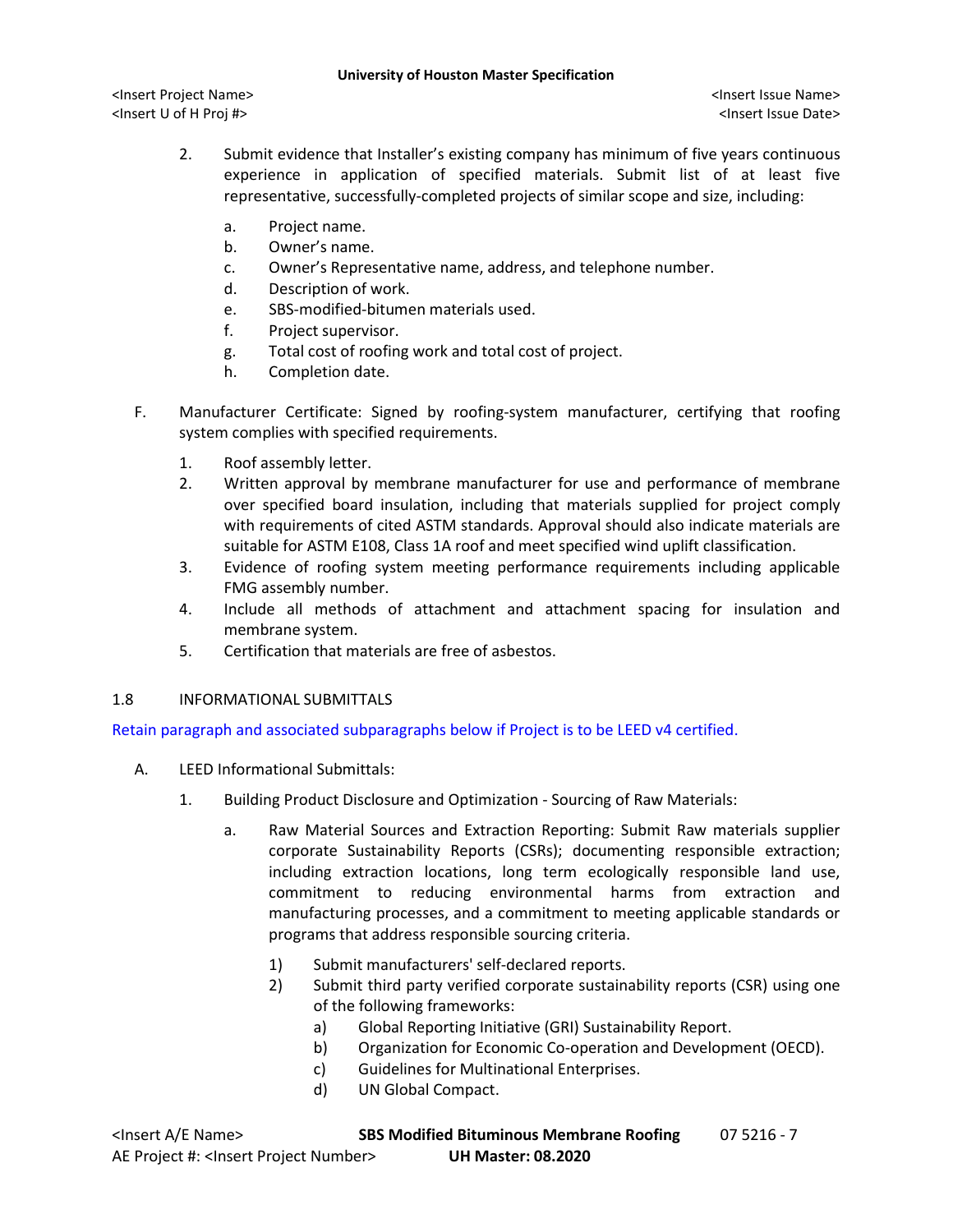- 2. Submit evidence that Installer's existing company has minimum of five years continuous experience in application of specified materials. Submit list of at least five representative, successfully-completed projects of similar scope and size, including:
	- a. Project name.
	- b. Owner's name.
	- c. Owner's Representative name, address, and telephone number.
	- d. Description of work.
	- e. SBS-modified-bitumen materials used.
	- f. Project supervisor.
	- g. Total cost of roofing work and total cost of project.
	- h. Completion date.
- F. Manufacturer Certificate: Signed by roofing-system manufacturer, certifying that roofing system complies with specified requirements.
	- 1. Roof assembly letter.
	- 2. Written approval by membrane manufacturer for use and performance of membrane over specified board insulation, including that materials supplied for project comply with requirements of cited ASTM standards. Approval should also indicate materials are suitable for ASTM E108, Class 1A roof and meet specified wind uplift classification.
	- 3. Evidence of roofing system meeting performance requirements including applicable FMG assembly number.
	- 4. Include all methods of attachment and attachment spacing for insulation and membrane system.
	- 5. Certification that materials are free of asbestos.

# 1.8 INFORMATIONAL SUBMITTALS

Retain paragraph and associated subparagraphs below if Project is to be LEED v4 certified.

- A. LEED Informational Submittals:
	- 1. Building Product Disclosure and Optimization Sourcing of Raw Materials:
		- a. Raw Material Sources and Extraction Reporting: Submit Raw materials supplier corporate Sustainability Reports (CSRs); documenting responsible extraction; including extraction locations, long term ecologically responsible land use, commitment to reducing environmental harms from extraction and manufacturing processes, and a commitment to meeting applicable standards or programs that address responsible sourcing criteria.
			- 1) Submit manufacturers' self-declared reports.
			- 2) Submit third party verified corporate sustainability reports (CSR) using one of the following frameworks:
				- a) Global Reporting Initiative (GRI) Sustainability Report.
				- b) Organization for Economic Co-operation and Development (OECD).
				- c) Guidelines for Multinational Enterprises.
				- d) UN Global Compact.

| <lnsert a="" e="" name=""></lnsert>                  | <b>SBS Modified Bituminous Membrane Roofing</b> | 07 5216 - 7 |
|------------------------------------------------------|-------------------------------------------------|-------------|
| AE Project #: <lnsert number="" project=""></lnsert> | <b>UH Master: 08.2020</b>                       |             |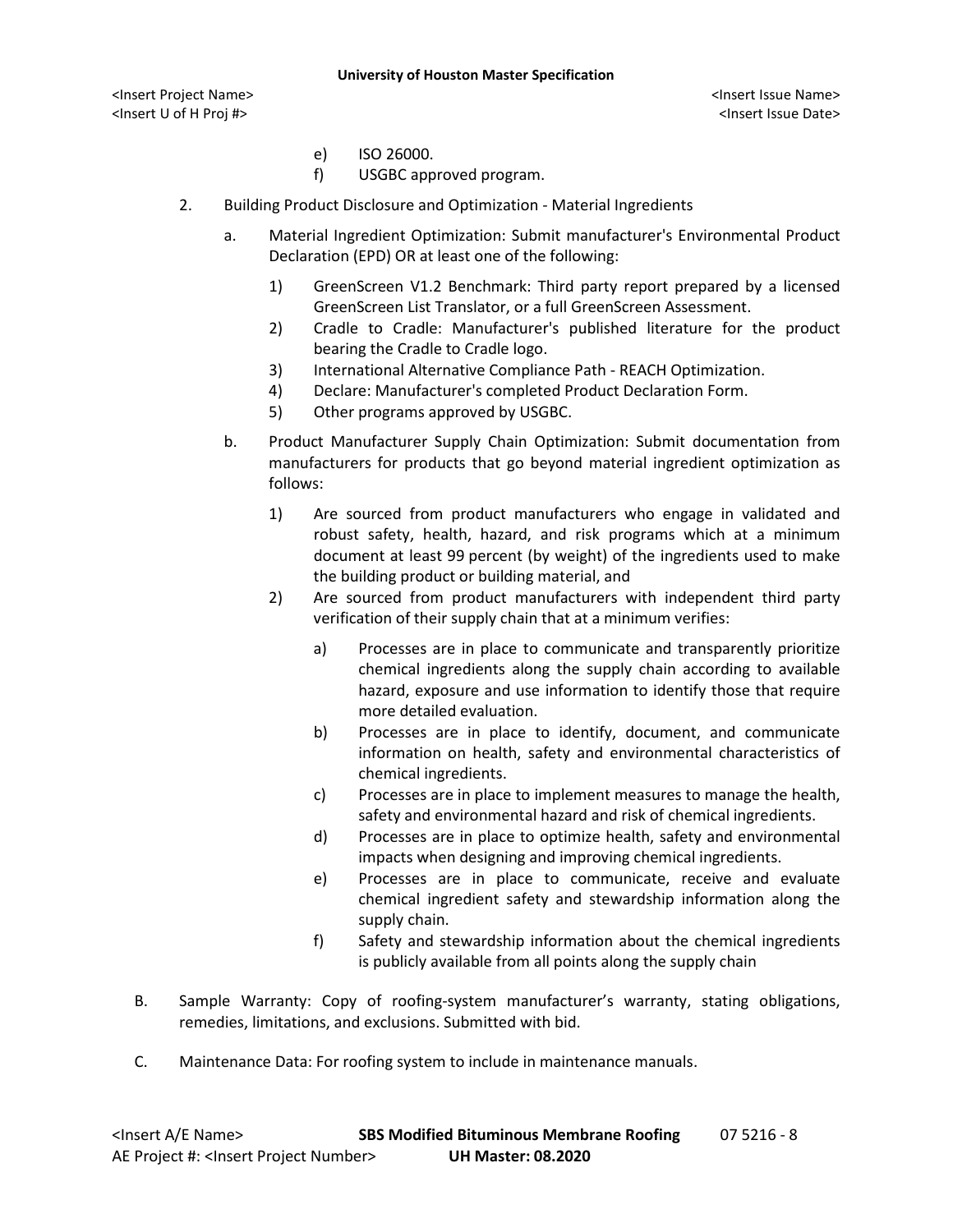#### **University of Houston Master Specification**

- e) ISO 26000.
- f) USGBC approved program.
- 2. Building Product Disclosure and Optimization Material Ingredients
	- a. Material Ingredient Optimization: Submit manufacturer's Environmental Product Declaration (EPD) OR at least one of the following:
		- 1) GreenScreen V1.2 Benchmark: Third party report prepared by a licensed GreenScreen List Translator, or a full GreenScreen Assessment.
		- 2) Cradle to Cradle: Manufacturer's published literature for the product bearing the Cradle to Cradle logo.
		- 3) International Alternative Compliance Path REACH Optimization.
		- 4) Declare: Manufacturer's completed Product Declaration Form.
		- 5) Other programs approved by USGBC.
	- b. Product Manufacturer Supply Chain Optimization: Submit documentation from manufacturers for products that go beyond material ingredient optimization as follows:
		- 1) Are sourced from product manufacturers who engage in validated and robust safety, health, hazard, and risk programs which at a minimum document at least 99 percent (by weight) of the ingredients used to make the building product or building material, and
		- 2) Are sourced from product manufacturers with independent third party verification of their supply chain that at a minimum verifies:
			- a) Processes are in place to communicate and transparently prioritize chemical ingredients along the supply chain according to available hazard, exposure and use information to identify those that require more detailed evaluation.
			- b) Processes are in place to identify, document, and communicate information on health, safety and environmental characteristics of chemical ingredients.
			- c) Processes are in place to implement measures to manage the health, safety and environmental hazard and risk of chemical ingredients.
			- d) Processes are in place to optimize health, safety and environmental impacts when designing and improving chemical ingredients.
			- e) Processes are in place to communicate, receive and evaluate chemical ingredient safety and stewardship information along the supply chain.
			- f) Safety and stewardship information about the chemical ingredients is publicly available from all points along the supply chain
- B. Sample Warranty: Copy of roofing-system manufacturer's warranty, stating obligations, remedies, limitations, and exclusions. Submitted with bid.
- C. Maintenance Data: For roofing system to include in maintenance manuals.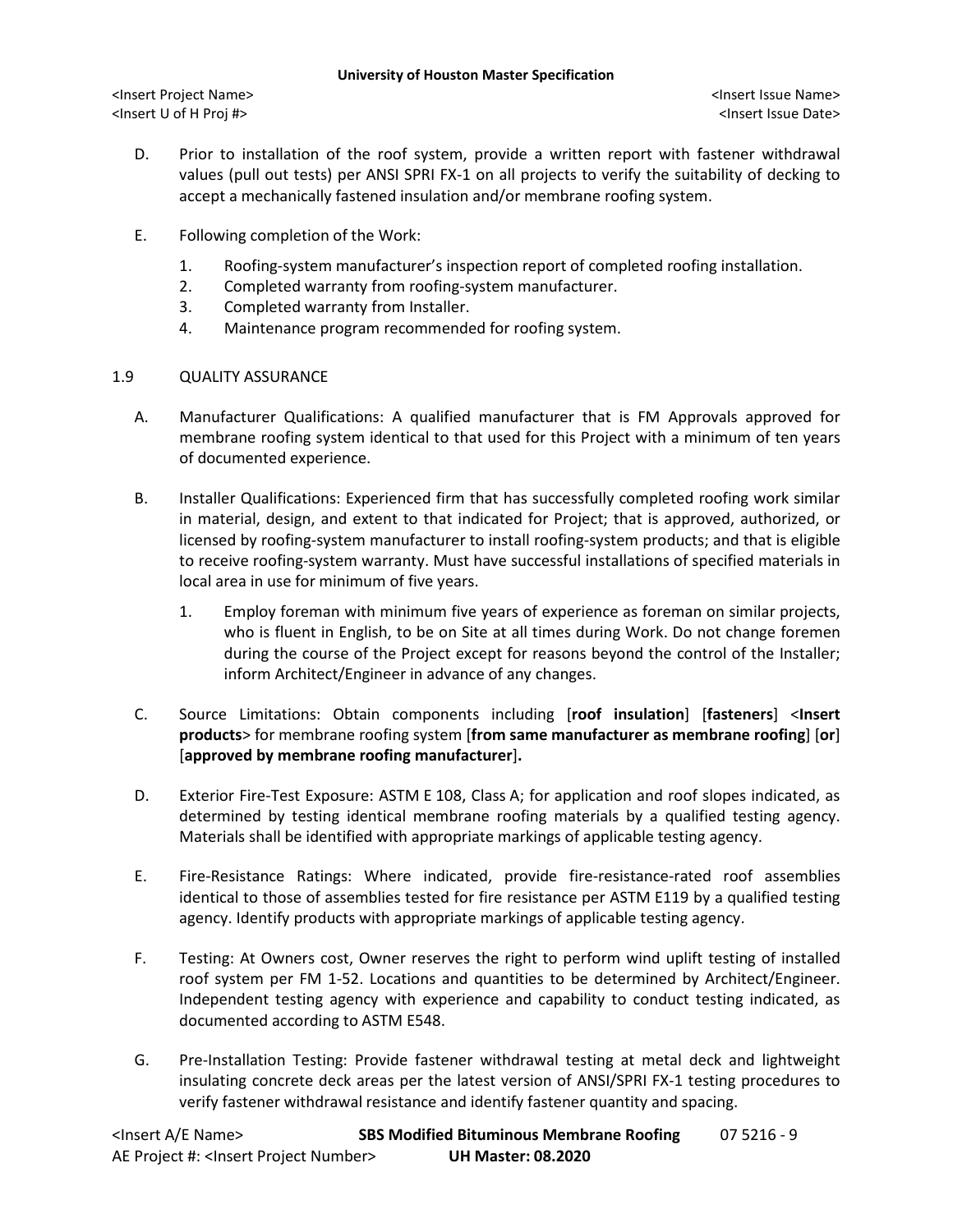<Insert Project Name> <Insert Issue Name> <Insert U of H Proj #> <Insert Issue Date>

- D. Prior to installation of the roof system, provide a written report with fastener withdrawal values (pull out tests) per ANSI SPRI FX-1 on all projects to verify the suitability of decking to accept a mechanically fastened insulation and/or membrane roofing system.
- E. Following completion of the Work:
	- 1. Roofing-system manufacturer's inspection report of completed roofing installation.
	- 2. Completed warranty from roofing-system manufacturer.
	- 3. Completed warranty from Installer.
	- 4. Maintenance program recommended for roofing system.

# 1.9 QUALITY ASSURANCE

- A. Manufacturer Qualifications: A qualified manufacturer that is FM Approvals approved for membrane roofing system identical to that used for this Project with a minimum of ten years of documented experience.
- B. Installer Qualifications: Experienced firm that has successfully completed roofing work similar in material, design, and extent to that indicated for Project; that is approved, authorized, or licensed by roofing-system manufacturer to install roofing-system products; and that is eligible to receive roofing-system warranty. Must have successful installations of specified materials in local area in use for minimum of five years.
	- 1. Employ foreman with minimum five years of experience as foreman on similar projects, who is fluent in English, to be on Site at all times during Work. Do not change foremen during the course of the Project except for reasons beyond the control of the Installer; inform Architect/Engineer in advance of any changes.
- C. Source Limitations: Obtain components including [**roof insulation**] [**fasteners**] <**Insert products**> for membrane roofing system [**from same manufacturer as membrane roofing**] [**or**] [**approved by membrane roofing manufacturer**]**.**
- D. Exterior Fire-Test Exposure: ASTM E 108, Class A; for application and roof slopes indicated, as determined by testing identical membrane roofing materials by a qualified testing agency. Materials shall be identified with appropriate markings of applicable testing agency.
- E. Fire-Resistance Ratings: Where indicated, provide fire-resistance-rated roof assemblies identical to those of assemblies tested for fire resistance per ASTM E119 by a qualified testing agency. Identify products with appropriate markings of applicable testing agency.
- F. Testing: At Owners cost, Owner reserves the right to perform wind uplift testing of installed roof system per FM 1-52. Locations and quantities to be determined by Architect/Engineer. Independent testing agency with experience and capability to conduct testing indicated, as documented according to ASTM E548.
- G. Pre-Installation Testing: Provide fastener withdrawal testing at metal deck and lightweight insulating concrete deck areas per the latest version of ANSI/SPRI FX-1 testing procedures to verify fastener withdrawal resistance and identify fastener quantity and spacing.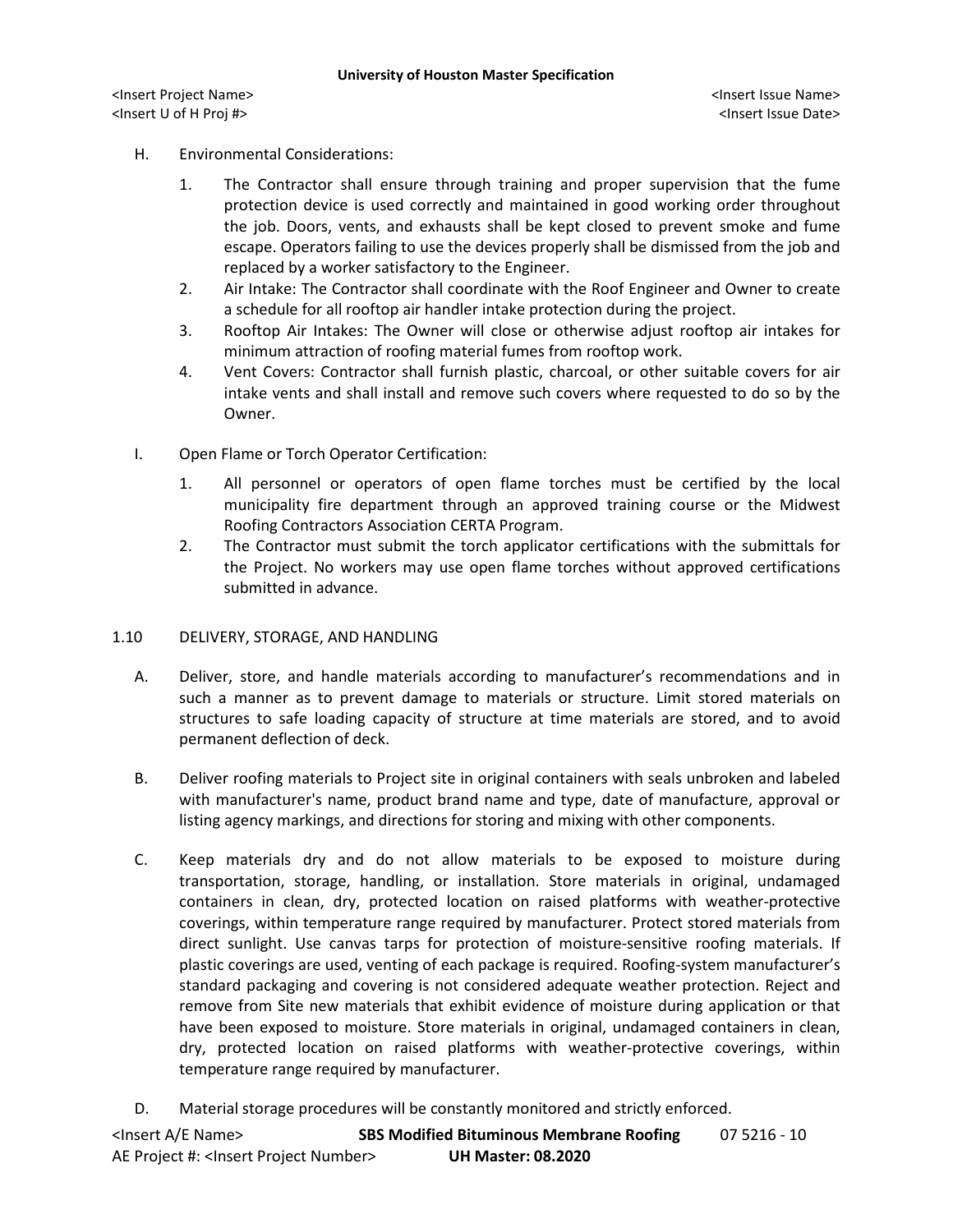<Insert Project Name> <Insert Issue Name> <Insert U of H Proj #> <Insert Issue Date>

# H. Environmental Considerations:

- 1. The Contractor shall ensure through training and proper supervision that the fume protection device is used correctly and maintained in good working order throughout the job. Doors, vents, and exhausts shall be kept closed to prevent smoke and fume escape. Operators failing to use the devices properly shall be dismissed from the job and replaced by a worker satisfactory to the Engineer.
- 2. Air Intake: The Contractor shall coordinate with the Roof Engineer and Owner to create a schedule for all rooftop air handler intake protection during the project.
- 3. Rooftop Air Intakes: The Owner will close or otherwise adjust rooftop air intakes for minimum attraction of roofing material fumes from rooftop work.
- 4. Vent Covers: Contractor shall furnish plastic, charcoal, or other suitable covers for air intake vents and shall install and remove such covers where requested to do so by the Owner.
- I. Open Flame or Torch Operator Certification:
	- 1. All personnel or operators of open flame torches must be certified by the local municipality fire department through an approved training course or the Midwest Roofing Contractors Association CERTA Program.
	- 2. The Contractor must submit the torch applicator certifications with the submittals for the Project. No workers may use open flame torches without approved certifications submitted in advance.

### 1.10 DELIVERY, STORAGE, AND HANDLING

- A. Deliver, store, and handle materials according to manufacturer's recommendations and in such a manner as to prevent damage to materials or structure. Limit stored materials on structures to safe loading capacity of structure at time materials are stored, and to avoid permanent deflection of deck.
- B. Deliver roofing materials to Project site in original containers with seals unbroken and labeled with manufacturer's name, product brand name and type, date of manufacture, approval or listing agency markings, and directions for storing and mixing with other components.
- C. Keep materials dry and do not allow materials to be exposed to moisture during transportation, storage, handling, or installation. Store materials in original, undamaged containers in clean, dry, protected location on raised platforms with weather-protective coverings, within temperature range required by manufacturer. Protect stored materials from direct sunlight. Use canvas tarps for protection of moisture-sensitive roofing materials. If plastic coverings are used, venting of each package is required. Roofing-system manufacturer's standard packaging and covering is not considered adequate weather protection. Reject and remove from Site new materials that exhibit evidence of moisture during application or that have been exposed to moisture. Store materials in original, undamaged containers in clean, dry, protected location on raised platforms with weather-protective coverings, within temperature range required by manufacturer.
- D. Material storage procedures will be constantly monitored and strictly enforced.

| <lnsert a="" e="" name=""></lnsert>                  | <b>SBS Modified Bituminous Membrane Roofing</b> | 07 5216 - 10 |
|------------------------------------------------------|-------------------------------------------------|--------------|
| AE Project #: <lnsert number="" project=""></lnsert> | <b>UH Master: 08.2020</b>                       |              |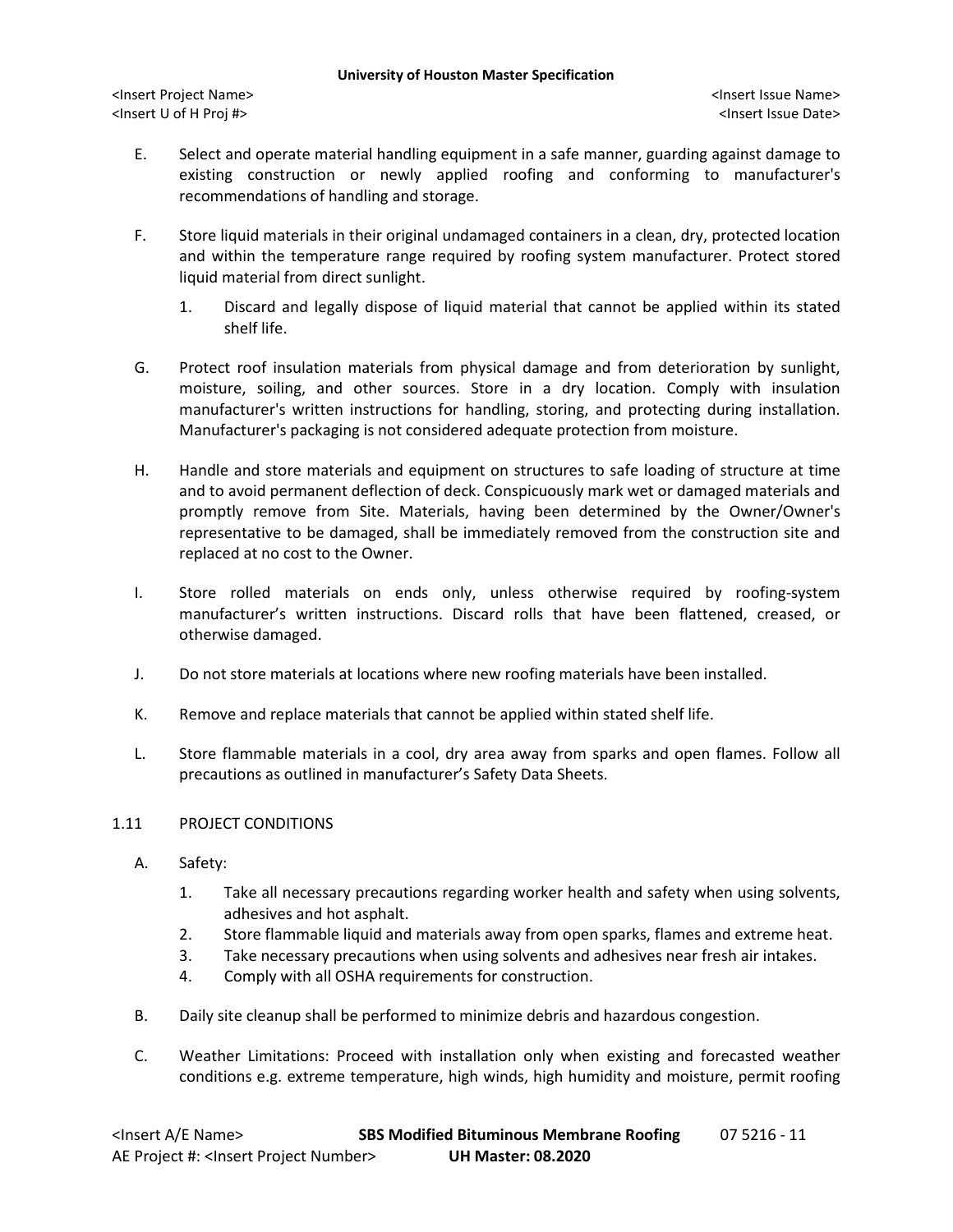- E. Select and operate material handling equipment in a safe manner, guarding against damage to existing construction or newly applied roofing and conforming to manufacturer's recommendations of handling and storage.
- F. Store liquid materials in their original undamaged containers in a clean, dry, protected location and within the temperature range required by roofing system manufacturer. Protect stored liquid material from direct sunlight.
	- 1. Discard and legally dispose of liquid material that cannot be applied within its stated shelf life.
- G. Protect roof insulation materials from physical damage and from deterioration by sunlight, moisture, soiling, and other sources. Store in a dry location. Comply with insulation manufacturer's written instructions for handling, storing, and protecting during installation. Manufacturer's packaging is not considered adequate protection from moisture.
- H. Handle and store materials and equipment on structures to safe loading of structure at time and to avoid permanent deflection of deck. Conspicuously mark wet or damaged materials and promptly remove from Site. Materials, having been determined by the Owner/Owner's representative to be damaged, shall be immediately removed from the construction site and replaced at no cost to the Owner.
- I. Store rolled materials on ends only, unless otherwise required by roofing-system manufacturer's written instructions. Discard rolls that have been flattened, creased, or otherwise damaged.
- J. Do not store materials at locations where new roofing materials have been installed.
- K. Remove and replace materials that cannot be applied within stated shelf life.
- L. Store flammable materials in a cool, dry area away from sparks and open flames. Follow all precautions as outlined in manufacturer's Safety Data Sheets.

### 1.11 PROJECT CONDITIONS

- A. Safety:
	- 1. Take all necessary precautions regarding worker health and safety when using solvents, adhesives and hot asphalt.
	- 2. Store flammable liquid and materials away from open sparks, flames and extreme heat.
	- 3. Take necessary precautions when using solvents and adhesives near fresh air intakes.
	- 4. Comply with all OSHA requirements for construction.
- B. Daily site cleanup shall be performed to minimize debris and hazardous congestion.
- C. Weather Limitations: Proceed with installation only when existing and forecasted weather conditions e.g. extreme temperature, high winds, high humidity and moisture, permit roofing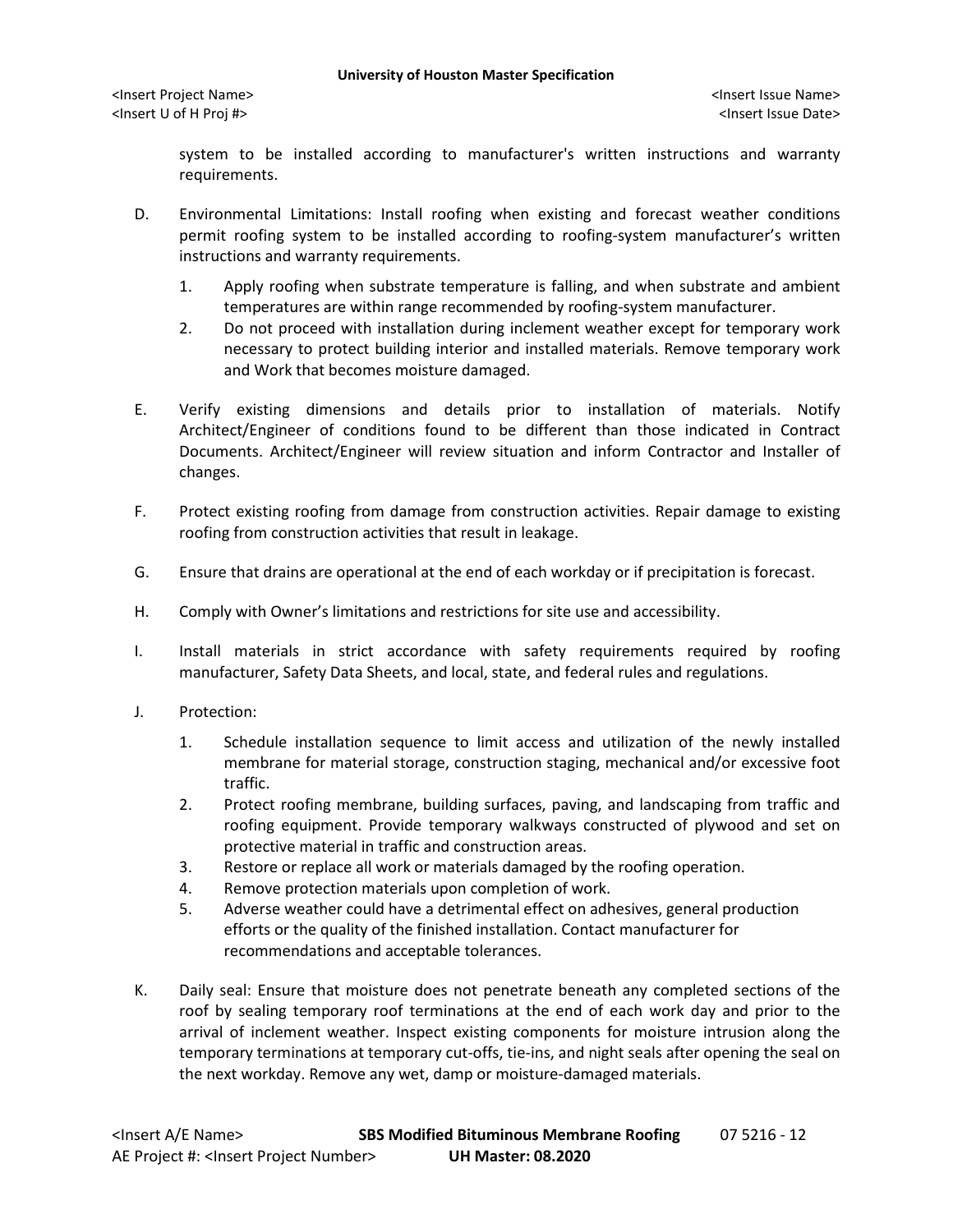system to be installed according to manufacturer's written instructions and warranty requirements.

- D. Environmental Limitations: Install roofing when existing and forecast weather conditions permit roofing system to be installed according to roofing-system manufacturer's written instructions and warranty requirements.
	- 1. Apply roofing when substrate temperature is falling, and when substrate and ambient temperatures are within range recommended by roofing-system manufacturer.
	- 2. Do not proceed with installation during inclement weather except for temporary work necessary to protect building interior and installed materials. Remove temporary work and Work that becomes moisture damaged.
- E. Verify existing dimensions and details prior to installation of materials. Notify Architect/Engineer of conditions found to be different than those indicated in Contract Documents. Architect/Engineer will review situation and inform Contractor and Installer of changes.
- F. Protect existing roofing from damage from construction activities. Repair damage to existing roofing from construction activities that result in leakage.
- G. Ensure that drains are operational at the end of each workday or if precipitation is forecast.
- H. Comply with Owner's limitations and restrictions for site use and accessibility.
- I. Install materials in strict accordance with safety requirements required by roofing manufacturer, Safety Data Sheets, and local, state, and federal rules and regulations.
- J. Protection:
	- 1. Schedule installation sequence to limit access and utilization of the newly installed membrane for material storage, construction staging, mechanical and/or excessive foot traffic.
	- 2. Protect roofing membrane, building surfaces, paving, and landscaping from traffic and roofing equipment. Provide temporary walkways constructed of plywood and set on protective material in traffic and construction areas.
	- 3. Restore or replace all work or materials damaged by the roofing operation.
	- 4. Remove protection materials upon completion of work.
	- 5. Adverse weather could have a detrimental effect on adhesives, general production efforts or the quality of the finished installation. Contact manufacturer for recommendations and acceptable tolerances.
- K. Daily seal: Ensure that moisture does not penetrate beneath any completed sections of the roof by sealing temporary roof terminations at the end of each work day and prior to the arrival of inclement weather. Inspect existing components for moisture intrusion along the temporary terminations at temporary cut-offs, tie-ins, and night seals after opening the seal on the next workday. Remove any wet, damp or moisture-damaged materials.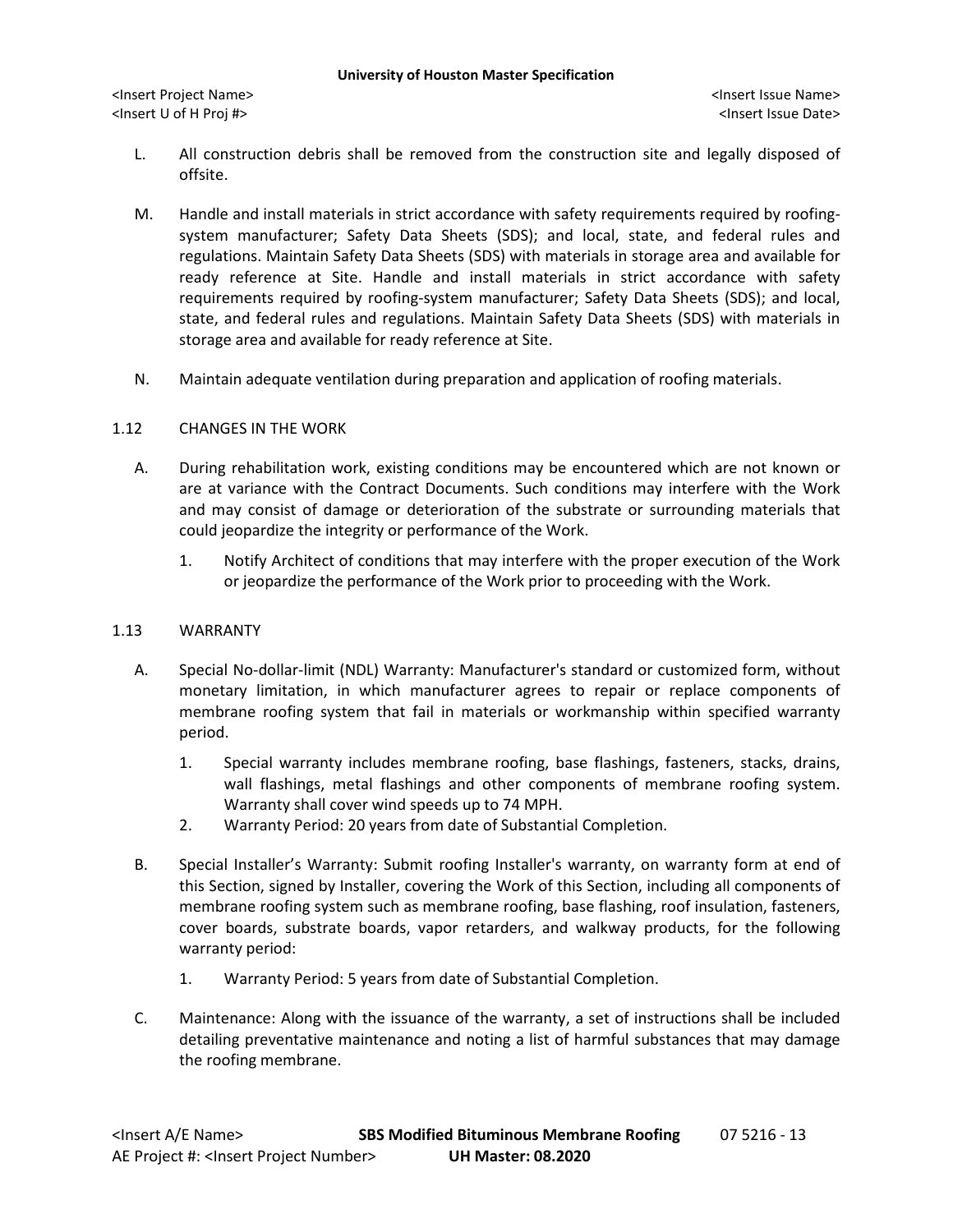- L. All construction debris shall be removed from the construction site and legally disposed of offsite.
- M. Handle and install materials in strict accordance with safety requirements required by roofingsystem manufacturer; Safety Data Sheets (SDS); and local, state, and federal rules and regulations. Maintain Safety Data Sheets (SDS) with materials in storage area and available for ready reference at Site. Handle and install materials in strict accordance with safety requirements required by roofing-system manufacturer; Safety Data Sheets (SDS); and local, state, and federal rules and regulations. Maintain Safety Data Sheets (SDS) with materials in storage area and available for ready reference at Site.
- N. Maintain adequate ventilation during preparation and application of roofing materials.

# 1.12 CHANGES IN THE WORK

- A. During rehabilitation work, existing conditions may be encountered which are not known or are at variance with the Contract Documents. Such conditions may interfere with the Work and may consist of damage or deterioration of the substrate or surrounding materials that could jeopardize the integrity or performance of the Work.
	- 1. Notify Architect of conditions that may interfere with the proper execution of the Work or jeopardize the performance of the Work prior to proceeding with the Work.

# 1.13 WARRANTY

- A. Special No-dollar-limit (NDL) Warranty: Manufacturer's standard or customized form, without monetary limitation, in which manufacturer agrees to repair or replace components of membrane roofing system that fail in materials or workmanship within specified warranty period.
	- 1. Special warranty includes membrane roofing, base flashings, fasteners, stacks, drains, wall flashings, metal flashings and other components of membrane roofing system. Warranty shall cover wind speeds up to 74 MPH.
	- 2. Warranty Period: 20 years from date of Substantial Completion.
- B. Special Installer's Warranty: Submit roofing Installer's warranty, on warranty form at end of this Section, signed by Installer, covering the Work of this Section, including all components of membrane roofing system such as membrane roofing, base flashing, roof insulation, fasteners, cover boards, substrate boards, vapor retarders, and walkway products, for the following warranty period:
	- 1. Warranty Period: 5 years from date of Substantial Completion.
- C. Maintenance: Along with the issuance of the warranty, a set of instructions shall be included detailing preventative maintenance and noting a list of harmful substances that may damage the roofing membrane.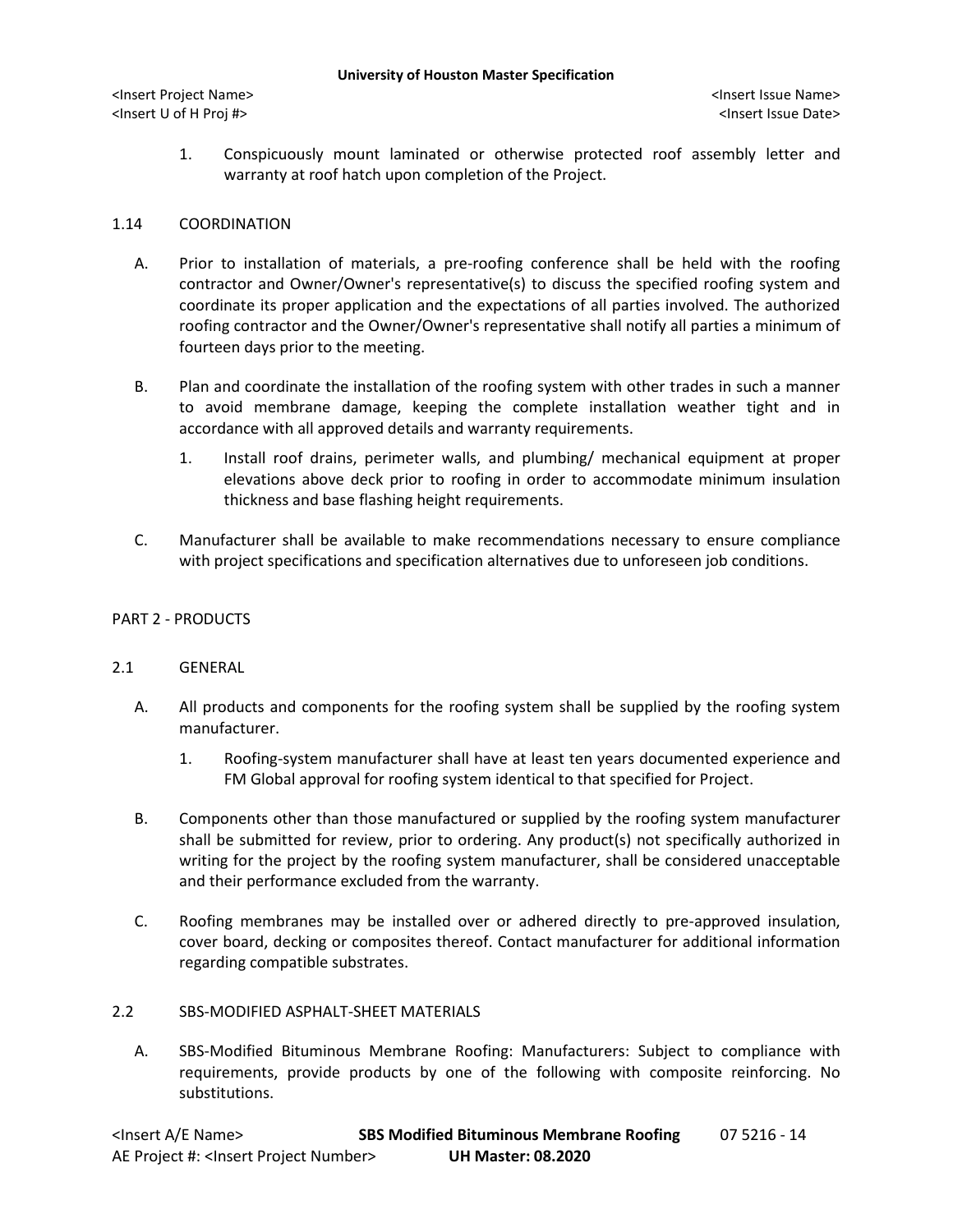<Insert Project Name> <Insert Issue Name> <Insert U of H Proj #> <Insert Issue Date>

1. Conspicuously mount laminated or otherwise protected roof assembly letter and warranty at roof hatch upon completion of the Project.

## 1.14 COORDINATION

- A. Prior to installation of materials, a pre-roofing conference shall be held with the roofing contractor and Owner/Owner's representative(s) to discuss the specified roofing system and coordinate its proper application and the expectations of all parties involved. The authorized roofing contractor and the Owner/Owner's representative shall notify all parties a minimum of fourteen days prior to the meeting.
- B. Plan and coordinate the installation of the roofing system with other trades in such a manner to avoid membrane damage, keeping the complete installation weather tight and in accordance with all approved details and warranty requirements.
	- 1. Install roof drains, perimeter walls, and plumbing/ mechanical equipment at proper elevations above deck prior to roofing in order to accommodate minimum insulation thickness and base flashing height requirements.
- C. Manufacturer shall be available to make recommendations necessary to ensure compliance with project specifications and specification alternatives due to unforeseen job conditions.

# PART 2 - PRODUCTS

# 2.1 GENERAL

- A. All products and components for the roofing system shall be supplied by the roofing system manufacturer.
	- 1. Roofing-system manufacturer shall have at least ten years documented experience and FM Global approval for roofing system identical to that specified for Project.
- B. Components other than those manufactured or supplied by the roofing system manufacturer shall be submitted for review, prior to ordering. Any product(s) not specifically authorized in writing for the project by the roofing system manufacturer, shall be considered unacceptable and their performance excluded from the warranty.
- C. Roofing membranes may be installed over or adhered directly to pre-approved insulation, cover board, decking or composites thereof. Contact manufacturer for additional information regarding compatible substrates.

### 2.2 SBS-MODIFIED ASPHALT-SHEET MATERIALS

A. SBS-Modified Bituminous Membrane Roofing: Manufacturers: Subject to compliance with requirements, provide products by one of the following with composite reinforcing. No substitutions.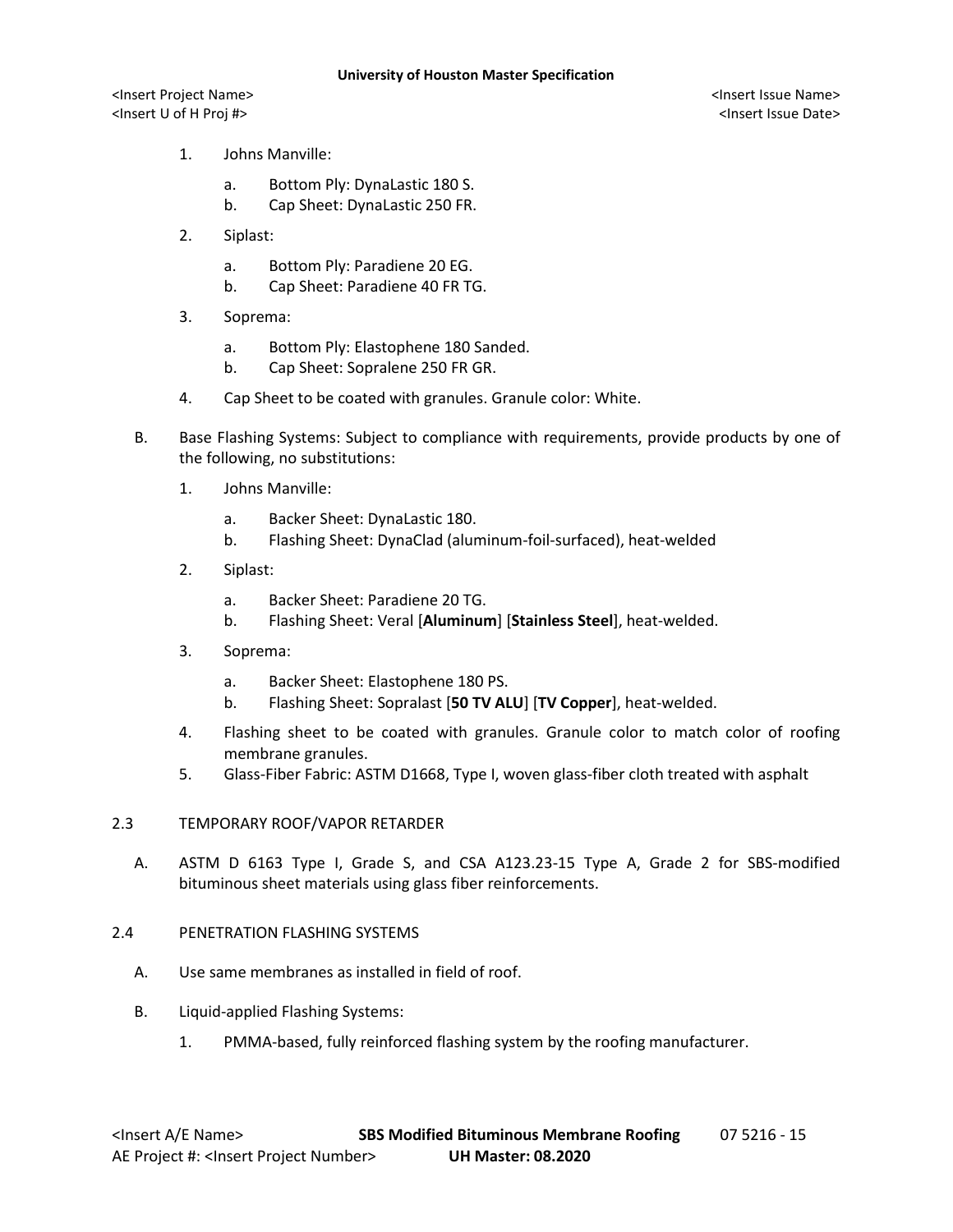<Insert Project Name> <Insert Issue Name> <Insert U of H Proj #> <Insert Issue Date>

- 1. Johns Manville:
	- a. Bottom Ply: DynaLastic 180 S.
	- b. Cap Sheet: DynaLastic 250 FR.
- 2. Siplast:
	- a. Bottom Ply: Paradiene 20 EG.
	- b. Cap Sheet: Paradiene 40 FR TG.
- 3. Soprema:
	- a. Bottom Ply: Elastophene 180 Sanded.
	- b. Cap Sheet: Sopralene 250 FR GR.
- 4. Cap Sheet to be coated with granules. Granule color: White.
- B. Base Flashing Systems: Subject to compliance with requirements, provide products by one of the following, no substitutions:
	- 1. Johns Manville:
		- a. Backer Sheet: DynaLastic 180.
		- b. Flashing Sheet: DynaClad (aluminum-foil-surfaced), heat-welded
	- 2. Siplast:
		- a. Backer Sheet: Paradiene 20 TG.
		- b. Flashing Sheet: Veral [**Aluminum**] [**Stainless Steel**], heat-welded.
	- 3. Soprema:
		- a. Backer Sheet: Elastophene 180 PS.
		- b. Flashing Sheet: Sopralast [**50 TV ALU**] [**TV Copper**], heat-welded.
	- 4. Flashing sheet to be coated with granules. Granule color to match color of roofing membrane granules.
	- 5. Glass-Fiber Fabric: ASTM D1668, Type I, woven glass-fiber cloth treated with asphalt

#### 2.3 TEMPORARY ROOF/VAPOR RETARDER

A. ASTM D 6163 Type I, Grade S, and CSA A123.23-15 Type A, Grade 2 for SBS-modified bituminous sheet materials using glass fiber reinforcements.

### 2.4 PENETRATION FLASHING SYSTEMS

- A. Use same membranes as installed in field of roof.
- B. Liquid-applied Flashing Systems:
	- 1. PMMA-based, fully reinforced flashing system by the roofing manufacturer.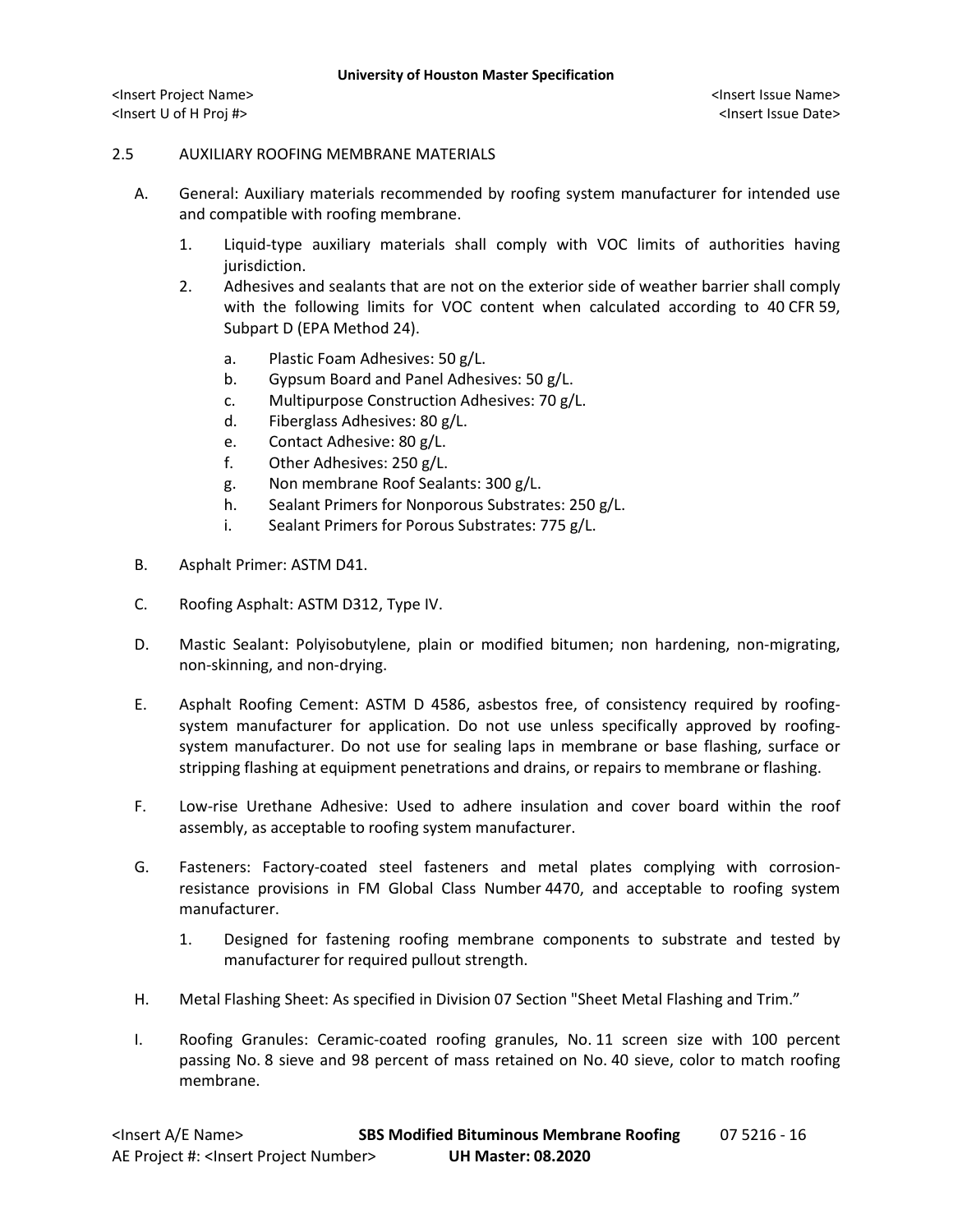### 2.5 AUXILIARY ROOFING MEMBRANE MATERIALS

- A. General: Auxiliary materials recommended by roofing system manufacturer for intended use and compatible with roofing membrane.
	- 1. Liquid-type auxiliary materials shall comply with VOC limits of authorities having jurisdiction.
	- 2. Adhesives and sealants that are not on the exterior side of weather barrier shall comply with the following limits for VOC content when calculated according to 40 CFR 59, Subpart D (EPA Method 24).
		- a. Plastic Foam Adhesives: 50 g/L.
		- b. Gypsum Board and Panel Adhesives: 50 g/L.
		- c. Multipurpose Construction Adhesives: 70 g/L.
		- d. Fiberglass Adhesives: 80 g/L.
		- e. Contact Adhesive: 80 g/L.
		- f. Other Adhesives: 250 g/L.
		- g. Non membrane Roof Sealants: 300 g/L.
		- h. Sealant Primers for Nonporous Substrates: 250 g/L.
		- i. Sealant Primers for Porous Substrates: 775 g/L.
- B. Asphalt Primer: ASTM D41.
- C. Roofing Asphalt: ASTM D312, Type IV.
- D. Mastic Sealant: Polyisobutylene, plain or modified bitumen; non hardening, non-migrating, non-skinning, and non-drying.
- E. Asphalt Roofing Cement: ASTM D 4586, asbestos free, of consistency required by roofingsystem manufacturer for application. Do not use unless specifically approved by roofingsystem manufacturer. Do not use for sealing laps in membrane or base flashing, surface or stripping flashing at equipment penetrations and drains, or repairs to membrane or flashing.
- F. Low-rise Urethane Adhesive: Used to adhere insulation and cover board within the roof assembly, as acceptable to roofing system manufacturer.
- G. Fasteners: Factory-coated steel fasteners and metal plates complying with corrosionresistance provisions in FM Global Class Number 4470, and acceptable to roofing system manufacturer.
	- 1. Designed for fastening roofing membrane components to substrate and tested by manufacturer for required pullout strength.
- H. Metal Flashing Sheet: As specified in Division 07 Section "Sheet Metal Flashing and Trim."
- I. Roofing Granules: Ceramic-coated roofing granules, No. 11 screen size with 100 percent passing No. 8 sieve and 98 percent of mass retained on No. 40 sieve, color to match roofing membrane.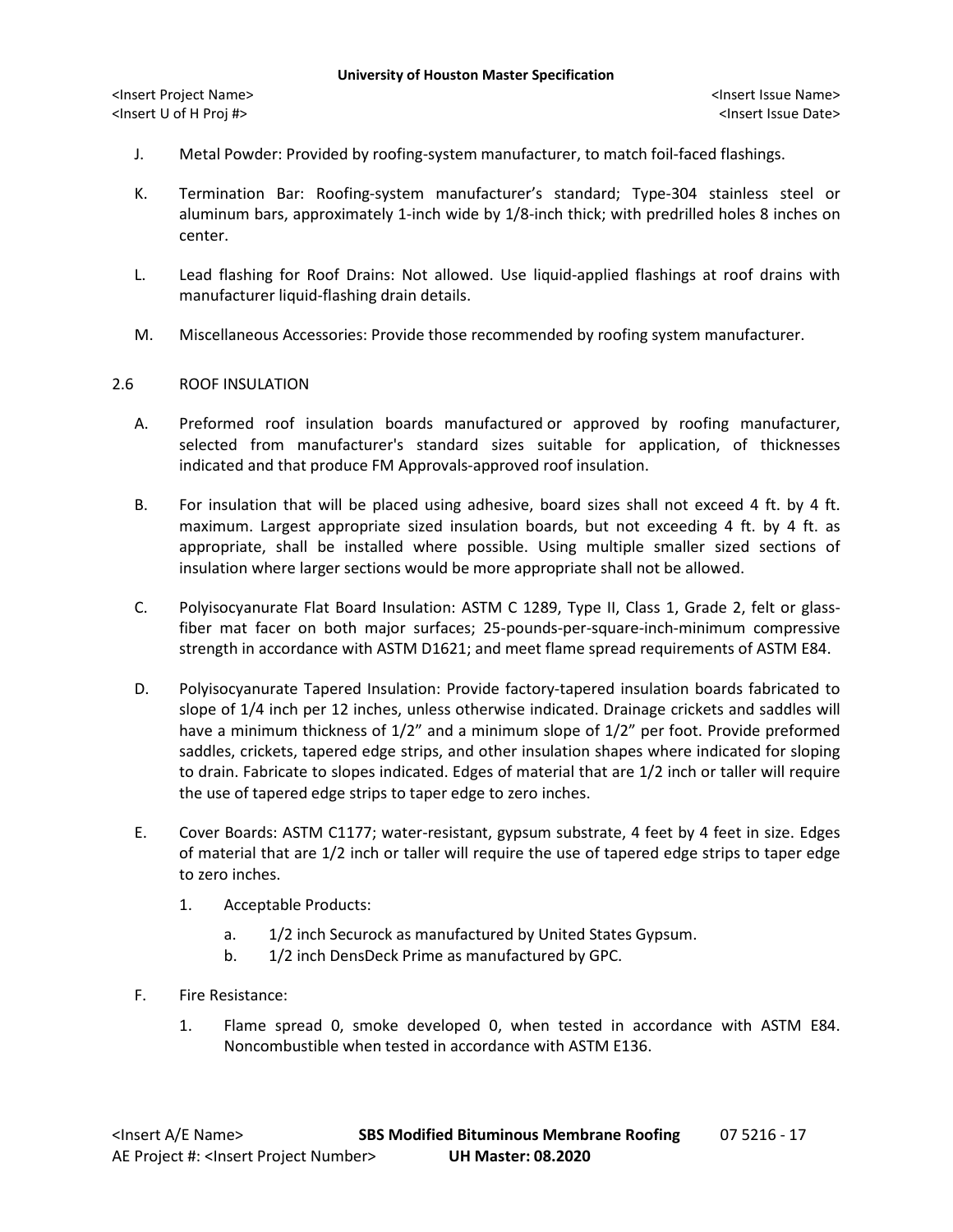- J. Metal Powder: Provided by roofing-system manufacturer, to match foil-faced flashings.
- K. Termination Bar: Roofing-system manufacturer's standard; Type-304 stainless steel or aluminum bars, approximately 1-inch wide by 1/8-inch thick; with predrilled holes 8 inches on center.
- L. Lead flashing for Roof Drains: Not allowed. Use liquid-applied flashings at roof drains with manufacturer liquid-flashing drain details.
- M. Miscellaneous Accessories: Provide those recommended by roofing system manufacturer.

## 2.6 ROOF INSULATION

- A. Preformed roof insulation boards manufactured or approved by roofing manufacturer, selected from manufacturer's standard sizes suitable for application, of thicknesses indicated and that produce FM Approvals-approved roof insulation.
- B. For insulation that will be placed using adhesive, board sizes shall not exceed 4 ft. by 4 ft. maximum. Largest appropriate sized insulation boards, but not exceeding 4 ft. by 4 ft. as appropriate, shall be installed where possible. Using multiple smaller sized sections of insulation where larger sections would be more appropriate shall not be allowed.
- C. Polyisocyanurate Flat Board Insulation: ASTM C 1289, Type II, Class 1, Grade 2, felt or glassfiber mat facer on both major surfaces; 25-pounds-per-square-inch-minimum compressive strength in accordance with ASTM D1621; and meet flame spread requirements of ASTM E84.
- D. Polyisocyanurate Tapered Insulation: Provide factory-tapered insulation boards fabricated to slope of 1/4 inch per 12 inches, unless otherwise indicated. Drainage crickets and saddles will have a minimum thickness of  $1/2$ " and a minimum slope of  $1/2$ " per foot. Provide preformed saddles, crickets, tapered edge strips, and other insulation shapes where indicated for sloping to drain. Fabricate to slopes indicated. Edges of material that are 1/2 inch or taller will require the use of tapered edge strips to taper edge to zero inches.
- E. Cover Boards: ASTM C1177; water-resistant, gypsum substrate, 4 feet by 4 feet in size. Edges of material that are 1/2 inch or taller will require the use of tapered edge strips to taper edge to zero inches.
	- 1. Acceptable Products:
		- a. 1/2 inch Securock as manufactured by United States Gypsum.
		- b. 1/2 inch DensDeck Prime as manufactured by GPC.
- F. Fire Resistance:
	- 1. Flame spread 0, smoke developed 0, when tested in accordance with ASTM E84. Noncombustible when tested in accordance with ASTM E136.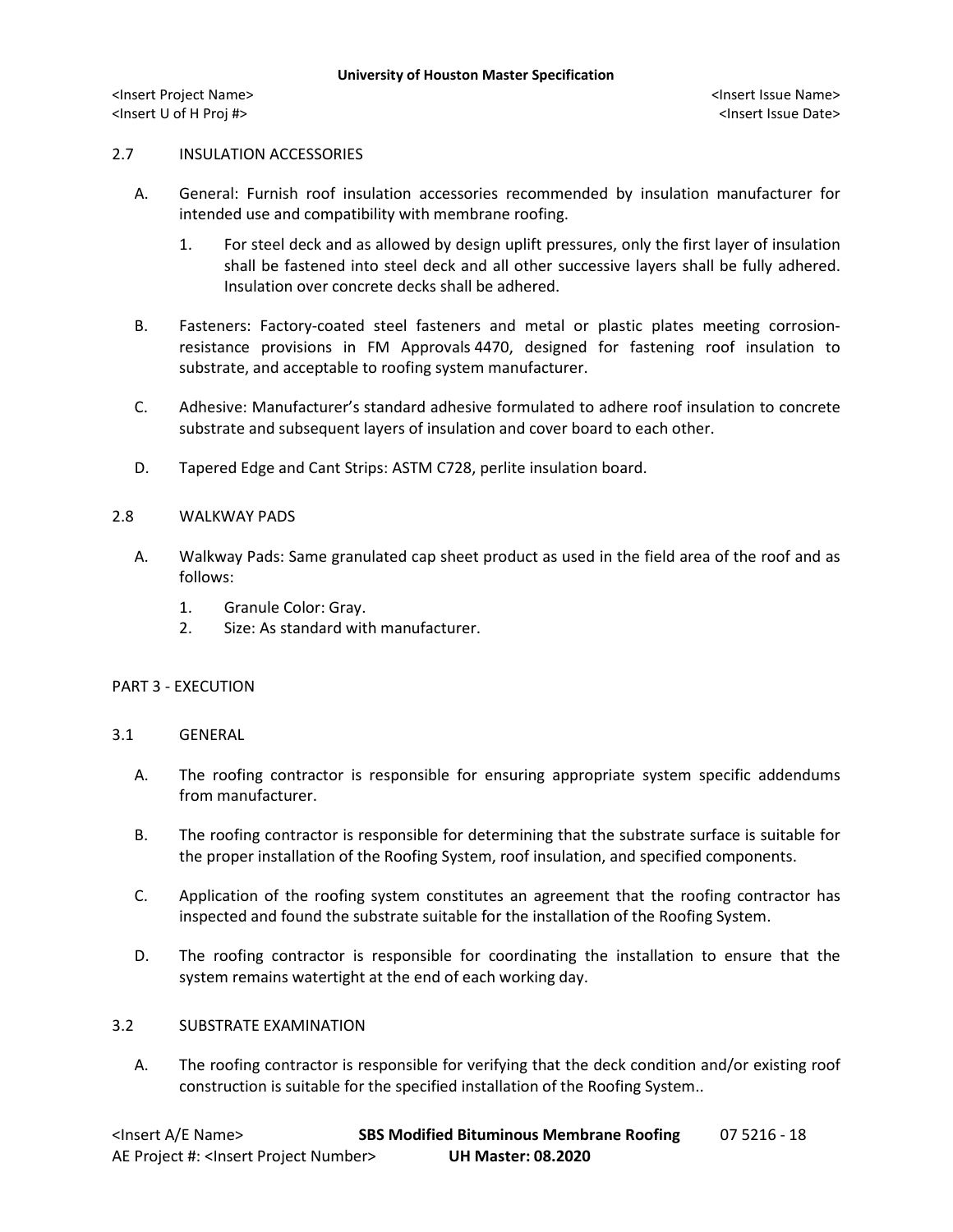## 2.7 INSULATION ACCESSORIES

- A. General: Furnish roof insulation accessories recommended by insulation manufacturer for intended use and compatibility with membrane roofing.
	- 1. For steel deck and as allowed by design uplift pressures, only the first layer of insulation shall be fastened into steel deck and all other successive layers shall be fully adhered. Insulation over concrete decks shall be adhered.
- B. Fasteners: Factory-coated steel fasteners and metal or plastic plates meeting corrosionresistance provisions in FM Approvals 4470, designed for fastening roof insulation to substrate, and acceptable to roofing system manufacturer.
- C. Adhesive: Manufacturer's standard adhesive formulated to adhere roof insulation to concrete substrate and subsequent layers of insulation and cover board to each other.
- D. Tapered Edge and Cant Strips: ASTM C728, perlite insulation board.

### 2.8 WALKWAY PADS

- A. Walkway Pads: Same granulated cap sheet product as used in the field area of the roof and as follows:
	- 1. Granule Color: Gray.
	- 2. Size: As standard with manufacturer.

### PART 3 - EXECUTION

### 3.1 GENERAL

- A. The roofing contractor is responsible for ensuring appropriate system specific addendums from manufacturer.
- B. The roofing contractor is responsible for determining that the substrate surface is suitable for the proper installation of the Roofing System, roof insulation, and specified components.
- C. Application of the roofing system constitutes an agreement that the roofing contractor has inspected and found the substrate suitable for the installation of the Roofing System.
- D. The roofing contractor is responsible for coordinating the installation to ensure that the system remains watertight at the end of each working day.

## 3.2 SUBSTRATE EXAMINATION

A. The roofing contractor is responsible for verifying that the deck condition and/or existing roof construction is suitable for the specified installation of the Roofing System..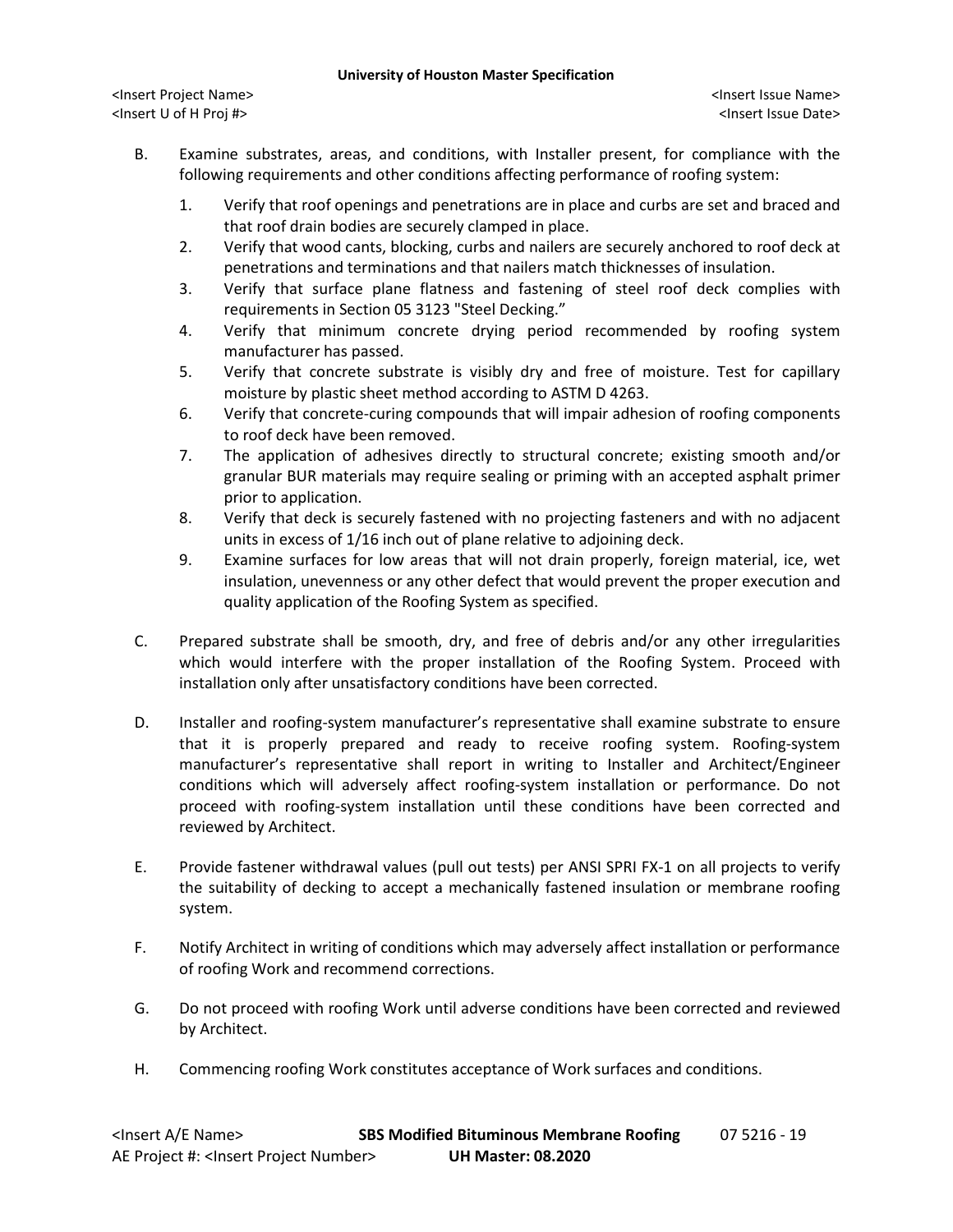- B. Examine substrates, areas, and conditions, with Installer present, for compliance with the following requirements and other conditions affecting performance of roofing system:
	- 1. Verify that roof openings and penetrations are in place and curbs are set and braced and that roof drain bodies are securely clamped in place.
	- 2. Verify that wood cants, blocking, curbs and nailers are securely anchored to roof deck at penetrations and terminations and that nailers match thicknesses of insulation.
	- 3. Verify that surface plane flatness and fastening of steel roof deck complies with requirements in Section 05 3123 "Steel Decking."
	- 4. Verify that minimum concrete drying period recommended by roofing system manufacturer has passed.
	- 5. Verify that concrete substrate is visibly dry and free of moisture. Test for capillary moisture by plastic sheet method according to ASTM D 4263.
	- 6. Verify that concrete-curing compounds that will impair adhesion of roofing components to roof deck have been removed.
	- 7. The application of adhesives directly to structural concrete; existing smooth and/or granular BUR materials may require sealing or priming with an accepted asphalt primer prior to application.
	- 8. Verify that deck is securely fastened with no projecting fasteners and with no adjacent units in excess of 1/16 inch out of plane relative to adjoining deck.
	- 9. Examine surfaces for low areas that will not drain properly, foreign material, ice, wet insulation, unevenness or any other defect that would prevent the proper execution and quality application of the Roofing System as specified.
- C. Prepared substrate shall be smooth, dry, and free of debris and/or any other irregularities which would interfere with the proper installation of the Roofing System. Proceed with installation only after unsatisfactory conditions have been corrected.
- D. Installer and roofing-system manufacturer's representative shall examine substrate to ensure that it is properly prepared and ready to receive roofing system. Roofing-system manufacturer's representative shall report in writing to Installer and Architect/Engineer conditions which will adversely affect roofing-system installation or performance. Do not proceed with roofing-system installation until these conditions have been corrected and reviewed by Architect.
- E. Provide fastener withdrawal values (pull out tests) per ANSI SPRI FX-1 on all projects to verify the suitability of decking to accept a mechanically fastened insulation or membrane roofing system.
- F. Notify Architect in writing of conditions which may adversely affect installation or performance of roofing Work and recommend corrections.
- G. Do not proceed with roofing Work until adverse conditions have been corrected and reviewed by Architect.
- H. Commencing roofing Work constitutes acceptance of Work surfaces and conditions.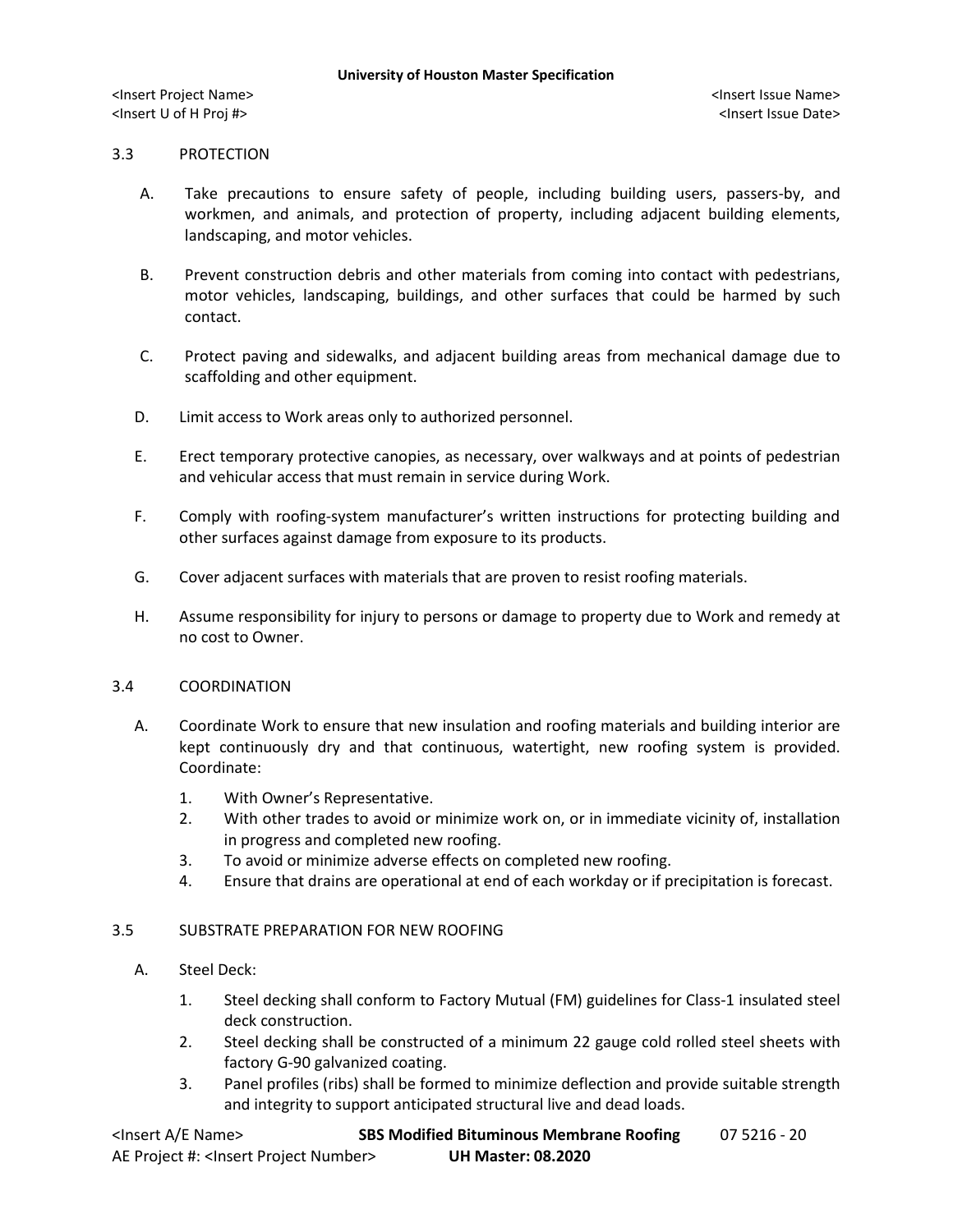# 3.3 PROTECTION

- A. Take precautions to ensure safety of people, including building users, passers-by, and workmen, and animals, and protection of property, including adjacent building elements, landscaping, and motor vehicles.
- B. Prevent construction debris and other materials from coming into contact with pedestrians, motor vehicles, landscaping, buildings, and other surfaces that could be harmed by such contact.
- C. Protect paving and sidewalks, and adjacent building areas from mechanical damage due to scaffolding and other equipment.
- D. Limit access to Work areas only to authorized personnel.
- E. Erect temporary protective canopies, as necessary, over walkways and at points of pedestrian and vehicular access that must remain in service during Work.
- F. Comply with roofing-system manufacturer's written instructions for protecting building and other surfaces against damage from exposure to its products.
- G. Cover adjacent surfaces with materials that are proven to resist roofing materials.
- H. Assume responsibility for injury to persons or damage to property due to Work and remedy at no cost to Owner.

### 3.4 COORDINATION

- A. Coordinate Work to ensure that new insulation and roofing materials and building interior are kept continuously dry and that continuous, watertight, new roofing system is provided. Coordinate:
	- 1. With Owner's Representative.
	- 2. With other trades to avoid or minimize work on, or in immediate vicinity of, installation in progress and completed new roofing.
	- 3. To avoid or minimize adverse effects on completed new roofing.
	- 4. Ensure that drains are operational at end of each workday or if precipitation is forecast.

### 3.5 SUBSTRATE PREPARATION FOR NEW ROOFING

- A. Steel Deck:
	- 1. Steel decking shall conform to Factory Mutual (FM) guidelines for Class-1 insulated steel deck construction.
	- 2. Steel decking shall be constructed of a minimum 22 gauge cold rolled steel sheets with factory G-90 galvanized coating.
	- 3. Panel profiles (ribs) shall be formed to minimize deflection and provide suitable strength and integrity to support anticipated structural live and dead loads.

| <lnsert a="" e="" name=""></lnsert>                  | <b>SBS Modified Bituminous Membrane Roofing</b> | 07 5216 - 20 |
|------------------------------------------------------|-------------------------------------------------|--------------|
| AE Project #: <lnsert number="" project=""></lnsert> | <b>UH Master: 08.2020</b>                       |              |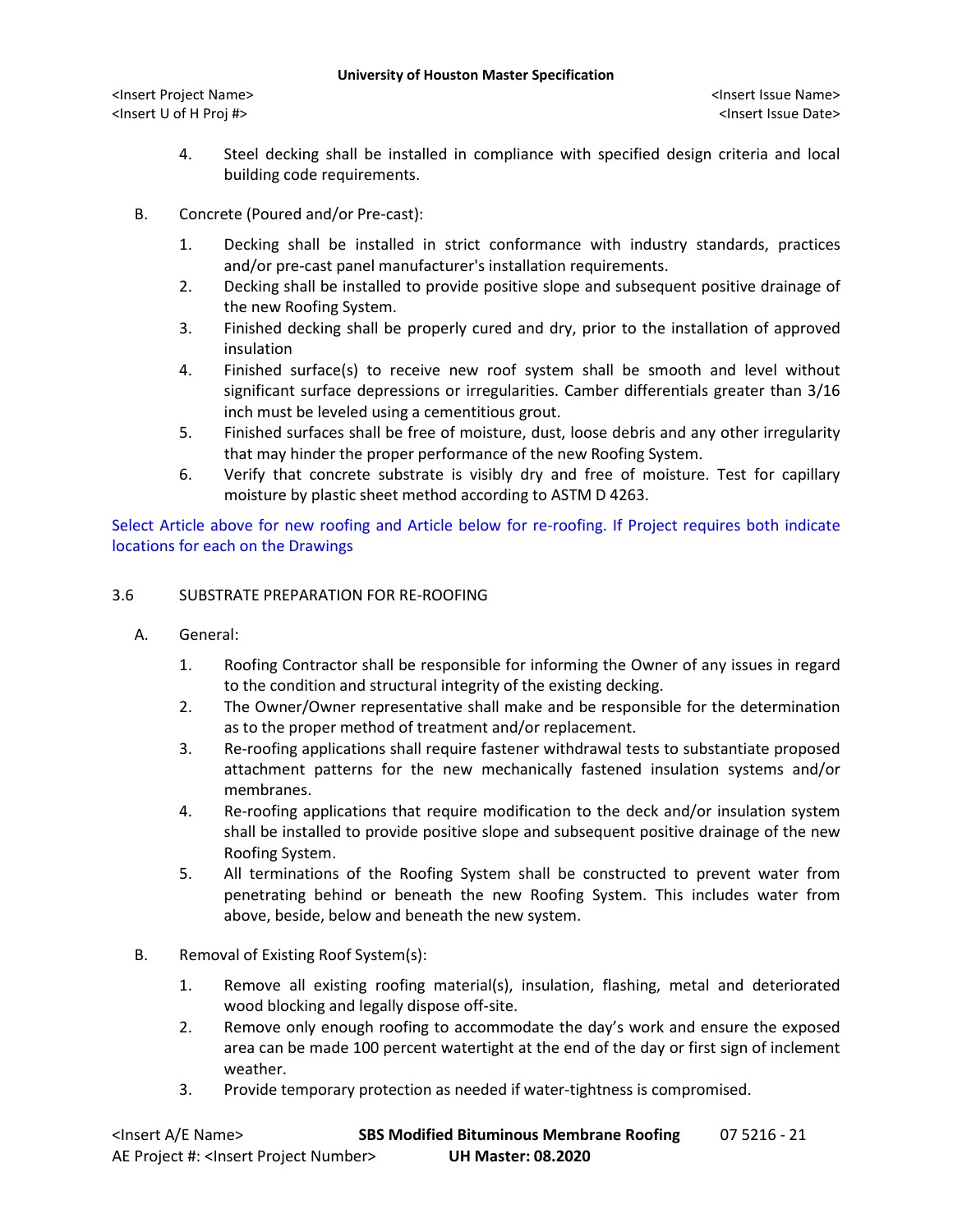- 4. Steel decking shall be installed in compliance with specified design criteria and local building code requirements.
- B. Concrete (Poured and/or Pre-cast):
	- 1. Decking shall be installed in strict conformance with industry standards, practices and/or pre-cast panel manufacturer's installation requirements.
	- 2. Decking shall be installed to provide positive slope and subsequent positive drainage of the new Roofing System.
	- 3. Finished decking shall be properly cured and dry, prior to the installation of approved insulation
	- 4. Finished surface(s) to receive new roof system shall be smooth and level without significant surface depressions or irregularities. Camber differentials greater than 3/16 inch must be leveled using a cementitious grout.
	- 5. Finished surfaces shall be free of moisture, dust, loose debris and any other irregularity that may hinder the proper performance of the new Roofing System.
	- 6. Verify that concrete substrate is visibly dry and free of moisture. Test for capillary moisture by plastic sheet method according to ASTM D 4263.

Select Article above for new roofing and Article below for re-roofing. If Project requires both indicate locations for each on the Drawings

# 3.6 SUBSTRATE PREPARATION FOR RE-ROOFING

- A. General:
	- 1. Roofing Contractor shall be responsible for informing the Owner of any issues in regard to the condition and structural integrity of the existing decking.
	- 2. The Owner/Owner representative shall make and be responsible for the determination as to the proper method of treatment and/or replacement.
	- 3. Re-roofing applications shall require fastener withdrawal tests to substantiate proposed attachment patterns for the new mechanically fastened insulation systems and/or membranes.
	- 4. Re-roofing applications that require modification to the deck and/or insulation system shall be installed to provide positive slope and subsequent positive drainage of the new Roofing System.
	- 5. All terminations of the Roofing System shall be constructed to prevent water from penetrating behind or beneath the new Roofing System. This includes water from above, beside, below and beneath the new system.
- B. Removal of Existing Roof System(s):
	- 1. Remove all existing roofing material(s), insulation, flashing, metal and deteriorated wood blocking and legally dispose off-site.
	- 2. Remove only enough roofing to accommodate the day's work and ensure the exposed area can be made 100 percent watertight at the end of the day or first sign of inclement weather.
	- 3. Provide temporary protection as needed if water-tightness is compromised.

| <lnsert a="" e="" name=""></lnsert>                  | <b>SBS Modified Bituminous Membrane Roofing</b> | 07 5216 - 21 |
|------------------------------------------------------|-------------------------------------------------|--------------|
| AE Project #: <lnsert number="" project=""></lnsert> | <b>UH Master: 08.2020</b>                       |              |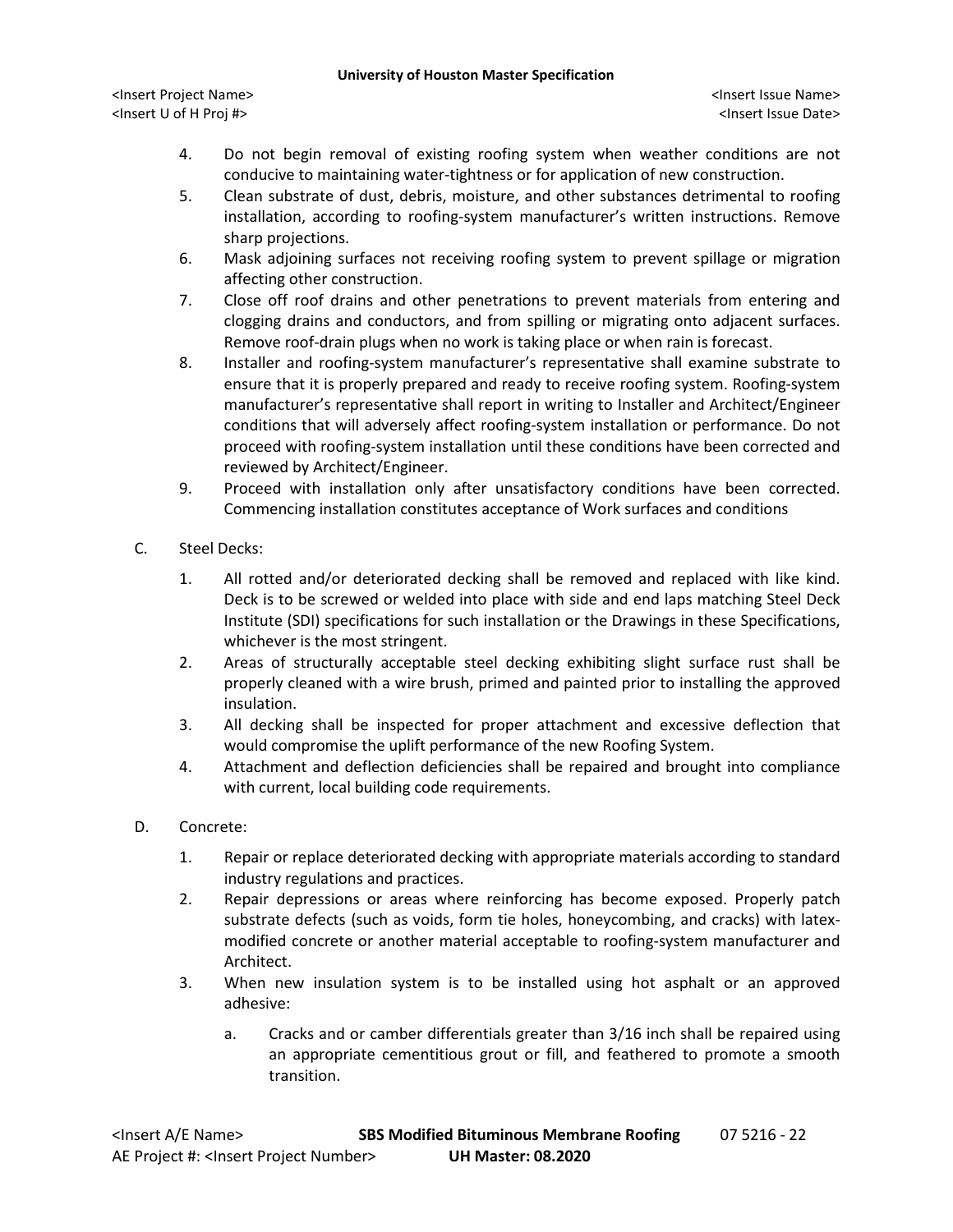#### **University of Houston Master Specification**

<Insert Project Name> <Insert Issue Name> <Insert U of H Proj #> <Insert Issue Date>

- 4. Do not begin removal of existing roofing system when weather conditions are not conducive to maintaining water-tightness or for application of new construction.
- 5. Clean substrate of dust, debris, moisture, and other substances detrimental to roofing installation, according to roofing-system manufacturer's written instructions. Remove sharp projections.
- 6. Mask adjoining surfaces not receiving roofing system to prevent spillage or migration affecting other construction.
- 7. Close off roof drains and other penetrations to prevent materials from entering and clogging drains and conductors, and from spilling or migrating onto adjacent surfaces. Remove roof-drain plugs when no work is taking place or when rain is forecast.
- 8. Installer and roofing-system manufacturer's representative shall examine substrate to ensure that it is properly prepared and ready to receive roofing system. Roofing-system manufacturer's representative shall report in writing to Installer and Architect/Engineer conditions that will adversely affect roofing-system installation or performance. Do not proceed with roofing-system installation until these conditions have been corrected and reviewed by Architect/Engineer.
- 9. Proceed with installation only after unsatisfactory conditions have been corrected. Commencing installation constitutes acceptance of Work surfaces and conditions
- C. Steel Decks:
	- 1. All rotted and/or deteriorated decking shall be removed and replaced with like kind. Deck is to be screwed or welded into place with side and end laps matching Steel Deck Institute (SDI) specifications for such installation or the Drawings in these Specifications, whichever is the most stringent.
	- 2. Areas of structurally acceptable steel decking exhibiting slight surface rust shall be properly cleaned with a wire brush, primed and painted prior to installing the approved insulation.
	- 3. All decking shall be inspected for proper attachment and excessive deflection that would compromise the uplift performance of the new Roofing System.
	- 4. Attachment and deflection deficiencies shall be repaired and brought into compliance with current, local building code requirements.
- D. Concrete:
	- 1. Repair or replace deteriorated decking with appropriate materials according to standard industry regulations and practices.
	- 2. Repair depressions or areas where reinforcing has become exposed. Properly patch substrate defects (such as voids, form tie holes, honeycombing, and cracks) with latexmodified concrete or another material acceptable to roofing-system manufacturer and Architect.
	- 3. When new insulation system is to be installed using hot asphalt or an approved adhesive:
		- a. Cracks and or camber differentials greater than 3/16 inch shall be repaired using an appropriate cementitious grout or fill, and feathered to promote a smooth transition.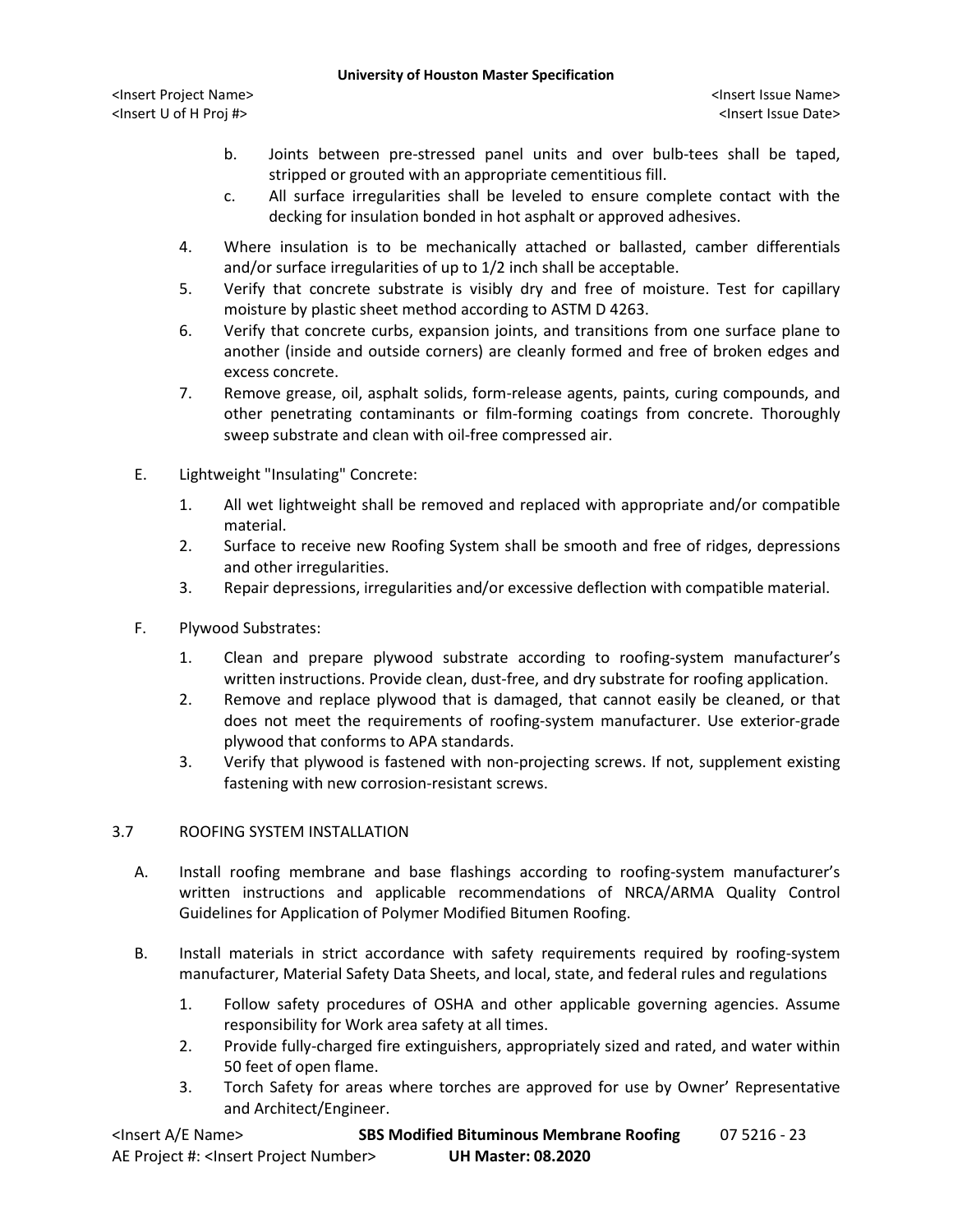- b. Joints between pre-stressed panel units and over bulb-tees shall be taped, stripped or grouted with an appropriate cementitious fill.
- c. All surface irregularities shall be leveled to ensure complete contact with the decking for insulation bonded in hot asphalt or approved adhesives.
- 4. Where insulation is to be mechanically attached or ballasted, camber differentials and/or surface irregularities of up to 1/2 inch shall be acceptable.
- 5. Verify that concrete substrate is visibly dry and free of moisture. Test for capillary moisture by plastic sheet method according to ASTM D 4263.
- 6. Verify that concrete curbs, expansion joints, and transitions from one surface plane to another (inside and outside corners) are cleanly formed and free of broken edges and excess concrete.
- 7. Remove grease, oil, asphalt solids, form-release agents, paints, curing compounds, and other penetrating contaminants or film-forming coatings from concrete. Thoroughly sweep substrate and clean with oil-free compressed air.
- E. Lightweight "Insulating" Concrete:
	- 1. All wet lightweight shall be removed and replaced with appropriate and/or compatible material.
	- 2. Surface to receive new Roofing System shall be smooth and free of ridges, depressions and other irregularities.
	- 3. Repair depressions, irregularities and/or excessive deflection with compatible material.
- F. Plywood Substrates:
	- 1. Clean and prepare plywood substrate according to roofing-system manufacturer's written instructions. Provide clean, dust-free, and dry substrate for roofing application.
	- 2. Remove and replace plywood that is damaged, that cannot easily be cleaned, or that does not meet the requirements of roofing-system manufacturer. Use exterior-grade plywood that conforms to APA standards.
	- 3. Verify that plywood is fastened with non-projecting screws. If not, supplement existing fastening with new corrosion-resistant screws.

# 3.7 ROOFING SYSTEM INSTALLATION

- A. Install roofing membrane and base flashings according to roofing-system manufacturer's written instructions and applicable recommendations of NRCA/ARMA Quality Control Guidelines for Application of Polymer Modified Bitumen Roofing.
- B. Install materials in strict accordance with safety requirements required by roofing-system manufacturer, Material Safety Data Sheets, and local, state, and federal rules and regulations
	- 1. Follow safety procedures of OSHA and other applicable governing agencies. Assume responsibility for Work area safety at all times.
	- 2. Provide fully-charged fire extinguishers, appropriately sized and rated, and water within 50 feet of open flame.
	- 3. Torch Safety for areas where torches are approved for use by Owner' Representative and Architect/Engineer.

| <lnsert a="" e="" name=""></lnsert>                  | <b>SBS Modified Bituminous Membrane Roofing</b> | 07 5216 - 23 |
|------------------------------------------------------|-------------------------------------------------|--------------|
| AE Project #: <lnsert number="" project=""></lnsert> | <b>UH Master: 08.2020</b>                       |              |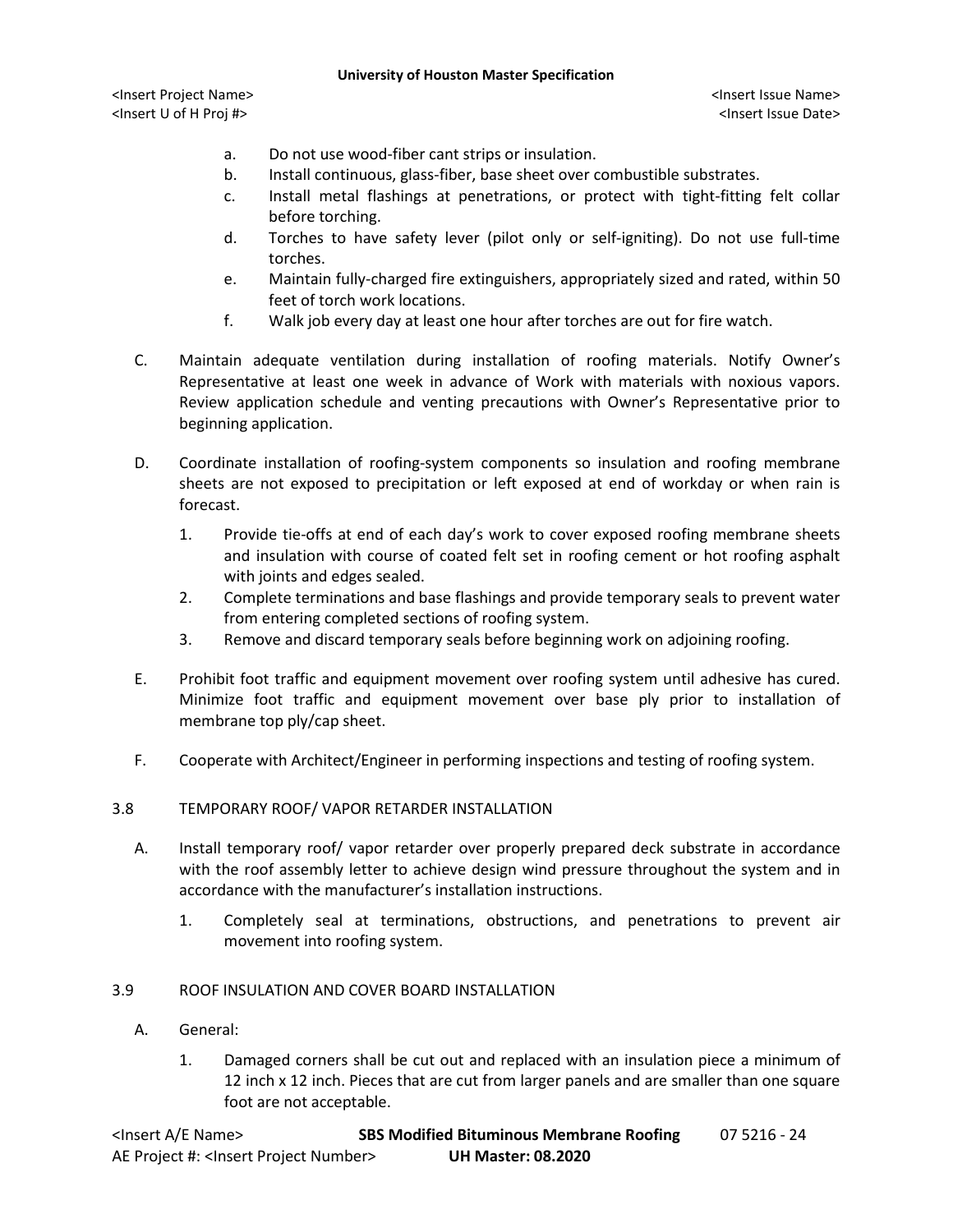- a. Do not use wood-fiber cant strips or insulation.
- b. Install continuous, glass-fiber, base sheet over combustible substrates.
- c. Install metal flashings at penetrations, or protect with tight-fitting felt collar before torching.
- d. Torches to have safety lever (pilot only or self-igniting). Do not use full-time torches.
- e. Maintain fully-charged fire extinguishers, appropriately sized and rated, within 50 feet of torch work locations.
- f. Walk job every day at least one hour after torches are out for fire watch.
- C. Maintain adequate ventilation during installation of roofing materials. Notify Owner's Representative at least one week in advance of Work with materials with noxious vapors. Review application schedule and venting precautions with Owner's Representative prior to beginning application.
- D. Coordinate installation of roofing-system components so insulation and roofing membrane sheets are not exposed to precipitation or left exposed at end of workday or when rain is forecast.
	- 1. Provide tie-offs at end of each day's work to cover exposed roofing membrane sheets and insulation with course of coated felt set in roofing cement or hot roofing asphalt with joints and edges sealed.
	- 2. Complete terminations and base flashings and provide temporary seals to prevent water from entering completed sections of roofing system.
	- 3. Remove and discard temporary seals before beginning work on adjoining roofing.
- E. Prohibit foot traffic and equipment movement over roofing system until adhesive has cured. Minimize foot traffic and equipment movement over base ply prior to installation of membrane top ply/cap sheet.
- F. Cooperate with Architect/Engineer in performing inspections and testing of roofing system.

### 3.8 TEMPORARY ROOF/ VAPOR RETARDER INSTALLATION

- A. Install temporary roof/ vapor retarder over properly prepared deck substrate in accordance with the roof assembly letter to achieve design wind pressure throughout the system and in accordance with the manufacturer's installation instructions.
	- 1. Completely seal at terminations, obstructions, and penetrations to prevent air movement into roofing system.

## 3.9 ROOF INSULATION AND COVER BOARD INSTALLATION

- A. General:
	- 1. Damaged corners shall be cut out and replaced with an insulation piece a minimum of 12 inch x 12 inch. Pieces that are cut from larger panels and are smaller than one square foot are not acceptable.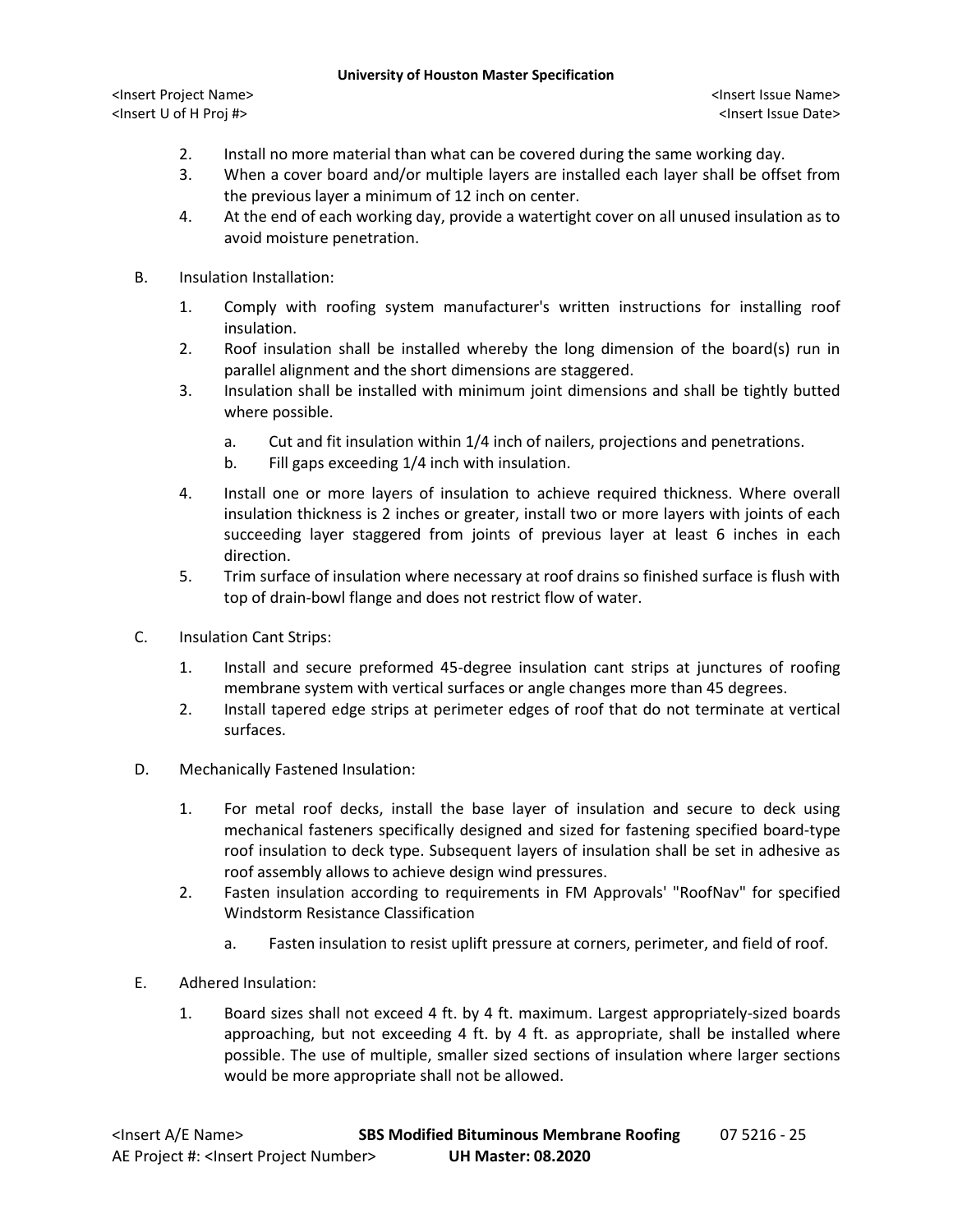#### **University of Houston Master Specification**

<Insert Project Name> <Insert Issue Name> <Insert U of H Proj #> <Insert Issue Date>

- 2. Install no more material than what can be covered during the same working day.
- 3. When a cover board and/or multiple layers are installed each layer shall be offset from the previous layer a minimum of 12 inch on center.
- 4. At the end of each working day, provide a watertight cover on all unused insulation as to avoid moisture penetration.
- B. Insulation Installation:
	- 1. Comply with roofing system manufacturer's written instructions for installing roof insulation.
	- 2. Roof insulation shall be installed whereby the long dimension of the board(s) run in parallel alignment and the short dimensions are staggered.
	- 3. Insulation shall be installed with minimum joint dimensions and shall be tightly butted where possible.
		- a. Cut and fit insulation within 1/4 inch of nailers, projections and penetrations.
		- b. Fill gaps exceeding 1/4 inch with insulation.
	- 4. Install one or more layers of insulation to achieve required thickness. Where overall insulation thickness is 2 inches or greater, install two or more layers with joints of each succeeding layer staggered from joints of previous layer at least 6 inches in each direction.
	- 5. Trim surface of insulation where necessary at roof drains so finished surface is flush with top of drain-bowl flange and does not restrict flow of water.
- C. Insulation Cant Strips:
	- 1. Install and secure preformed 45-degree insulation cant strips at junctures of roofing membrane system with vertical surfaces or angle changes more than 45 degrees.
	- 2. Install tapered edge strips at perimeter edges of roof that do not terminate at vertical surfaces.
- D. Mechanically Fastened Insulation:
	- 1. For metal roof decks, install the base layer of insulation and secure to deck using mechanical fasteners specifically designed and sized for fastening specified board-type roof insulation to deck type. Subsequent layers of insulation shall be set in adhesive as roof assembly allows to achieve design wind pressures.
	- 2. Fasten insulation according to requirements in FM Approvals' "RoofNav" for specified Windstorm Resistance Classification
		- a. Fasten insulation to resist uplift pressure at corners, perimeter, and field of roof.
- E. Adhered Insulation:
	- 1. Board sizes shall not exceed 4 ft. by 4 ft. maximum. Largest appropriately-sized boards approaching, but not exceeding 4 ft. by 4 ft. as appropriate, shall be installed where possible. The use of multiple, smaller sized sections of insulation where larger sections would be more appropriate shall not be allowed.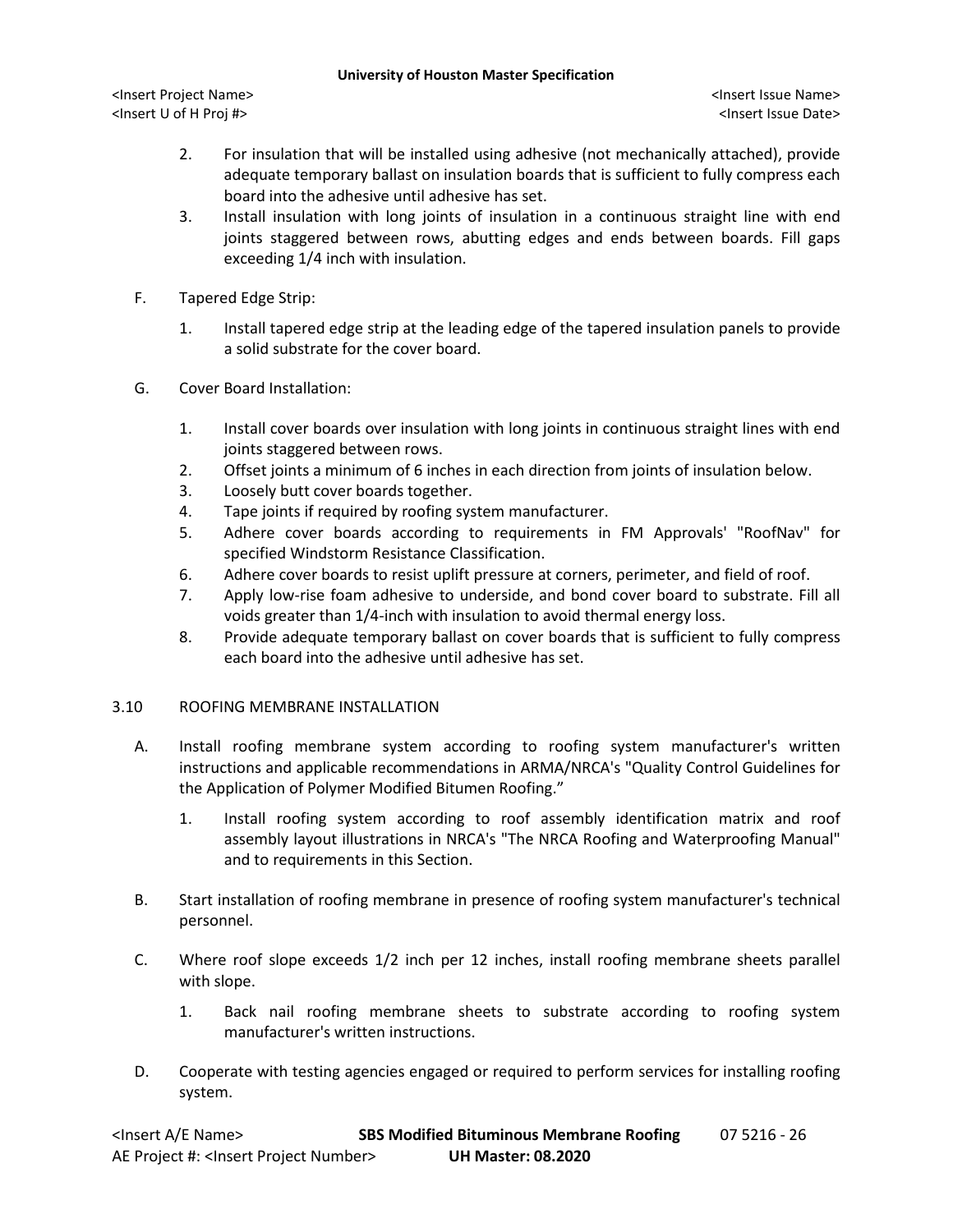- 2. For insulation that will be installed using adhesive (not mechanically attached), provide adequate temporary ballast on insulation boards that is sufficient to fully compress each board into the adhesive until adhesive has set.
- 3. Install insulation with long joints of insulation in a continuous straight line with end joints staggered between rows, abutting edges and ends between boards. Fill gaps exceeding 1/4 inch with insulation.
- F. Tapered Edge Strip:
	- 1. Install tapered edge strip at the leading edge of the tapered insulation panels to provide a solid substrate for the cover board.
- G. Cover Board Installation:
	- 1. Install cover boards over insulation with long joints in continuous straight lines with end joints staggered between rows.
	- 2. Offset joints a minimum of 6 inches in each direction from joints of insulation below.
	- 3. Loosely butt cover boards together.
	- 4. Tape joints if required by roofing system manufacturer.
	- 5. Adhere cover boards according to requirements in FM Approvals' "RoofNav" for specified Windstorm Resistance Classification.
	- 6. Adhere cover boards to resist uplift pressure at corners, perimeter, and field of roof.
	- 7. Apply low-rise foam adhesive to underside, and bond cover board to substrate. Fill all voids greater than 1/4-inch with insulation to avoid thermal energy loss.
	- 8. Provide adequate temporary ballast on cover boards that is sufficient to fully compress each board into the adhesive until adhesive has set.

# 3.10 ROOFING MEMBRANE INSTALLATION

- A. Install roofing membrane system according to roofing system manufacturer's written instructions and applicable recommendations in ARMA/NRCA's "Quality Control Guidelines for the Application of Polymer Modified Bitumen Roofing."
	- 1. Install roofing system according to roof assembly identification matrix and roof assembly layout illustrations in NRCA's "The NRCA Roofing and Waterproofing Manual" and to requirements in this Section.
- B. Start installation of roofing membrane in presence of roofing system manufacturer's technical personnel.
- C. Where roof slope exceeds 1/2 inch per 12 inches, install roofing membrane sheets parallel with slope.
	- 1. Back nail roofing membrane sheets to substrate according to roofing system manufacturer's written instructions.
- D. Cooperate with testing agencies engaged or required to perform services for installing roofing system.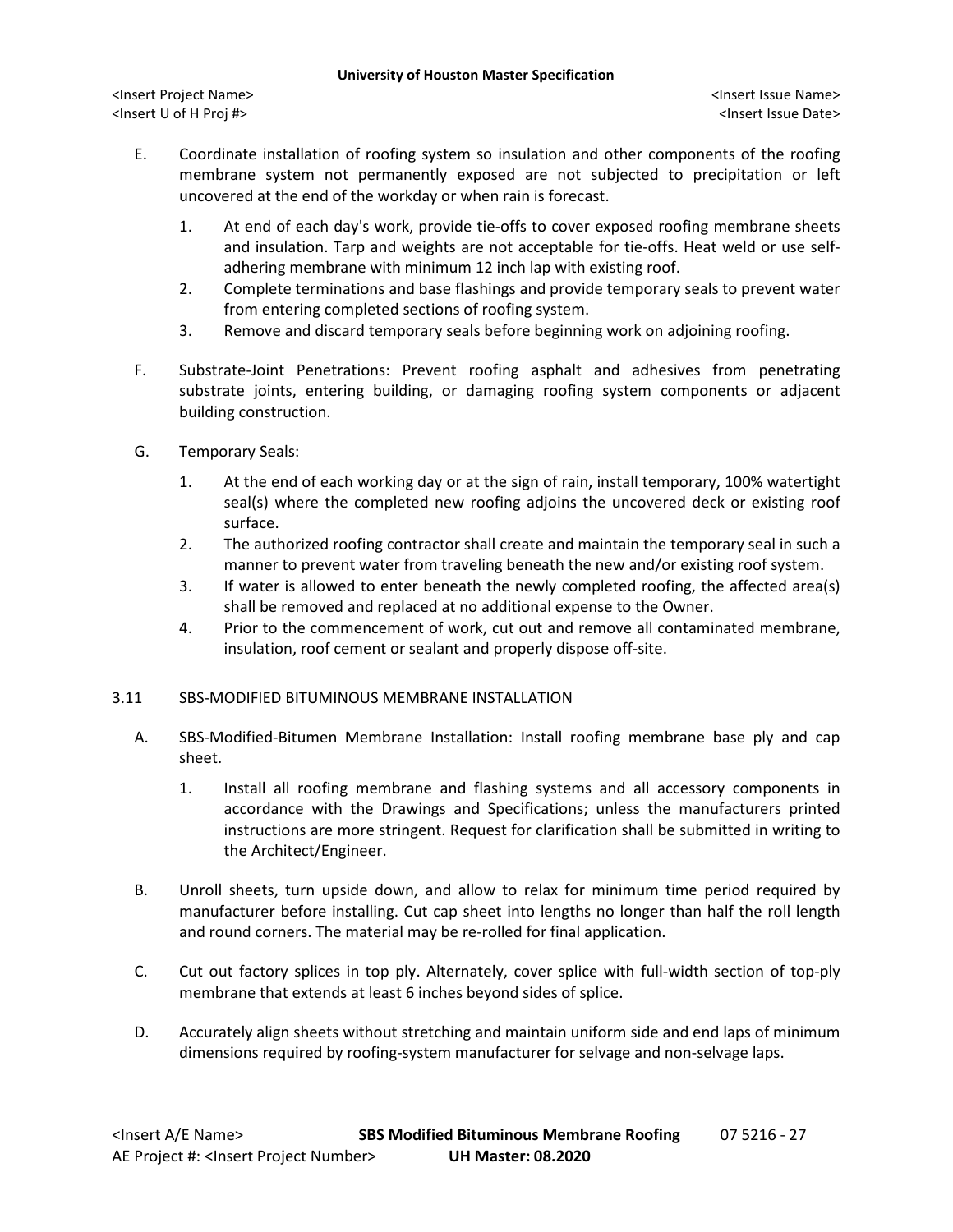- E. Coordinate installation of roofing system so insulation and other components of the roofing membrane system not permanently exposed are not subjected to precipitation or left uncovered at the end of the workday or when rain is forecast.
	- 1. At end of each day's work, provide tie-offs to cover exposed roofing membrane sheets and insulation. Tarp and weights are not acceptable for tie-offs. Heat weld or use selfadhering membrane with minimum 12 inch lap with existing roof.
	- 2. Complete terminations and base flashings and provide temporary seals to prevent water from entering completed sections of roofing system.
	- 3. Remove and discard temporary seals before beginning work on adjoining roofing.
- F. Substrate-Joint Penetrations: Prevent roofing asphalt and adhesives from penetrating substrate joints, entering building, or damaging roofing system components or adjacent building construction.
- G. Temporary Seals:
	- 1. At the end of each working day or at the sign of rain, install temporary, 100% watertight seal(s) where the completed new roofing adjoins the uncovered deck or existing roof surface.
	- 2. The authorized roofing contractor shall create and maintain the temporary seal in such a manner to prevent water from traveling beneath the new and/or existing roof system.
	- 3. If water is allowed to enter beneath the newly completed roofing, the affected area(s) shall be removed and replaced at no additional expense to the Owner.
	- 4. Prior to the commencement of work, cut out and remove all contaminated membrane, insulation, roof cement or sealant and properly dispose off-site.

# 3.11 SBS-MODIFIED BITUMINOUS MEMBRANE INSTALLATION

- A. SBS-Modified-Bitumen Membrane Installation: Install roofing membrane base ply and cap sheet.
	- 1. Install all roofing membrane and flashing systems and all accessory components in accordance with the Drawings and Specifications; unless the manufacturers printed instructions are more stringent. Request for clarification shall be submitted in writing to the Architect/Engineer.
- B. Unroll sheets, turn upside down, and allow to relax for minimum time period required by manufacturer before installing. Cut cap sheet into lengths no longer than half the roll length and round corners. The material may be re-rolled for final application.
- C. Cut out factory splices in top ply. Alternately, cover splice with full-width section of top-ply membrane that extends at least 6 inches beyond sides of splice.
- D. Accurately align sheets without stretching and maintain uniform side and end laps of minimum dimensions required by roofing-system manufacturer for selvage and non-selvage laps.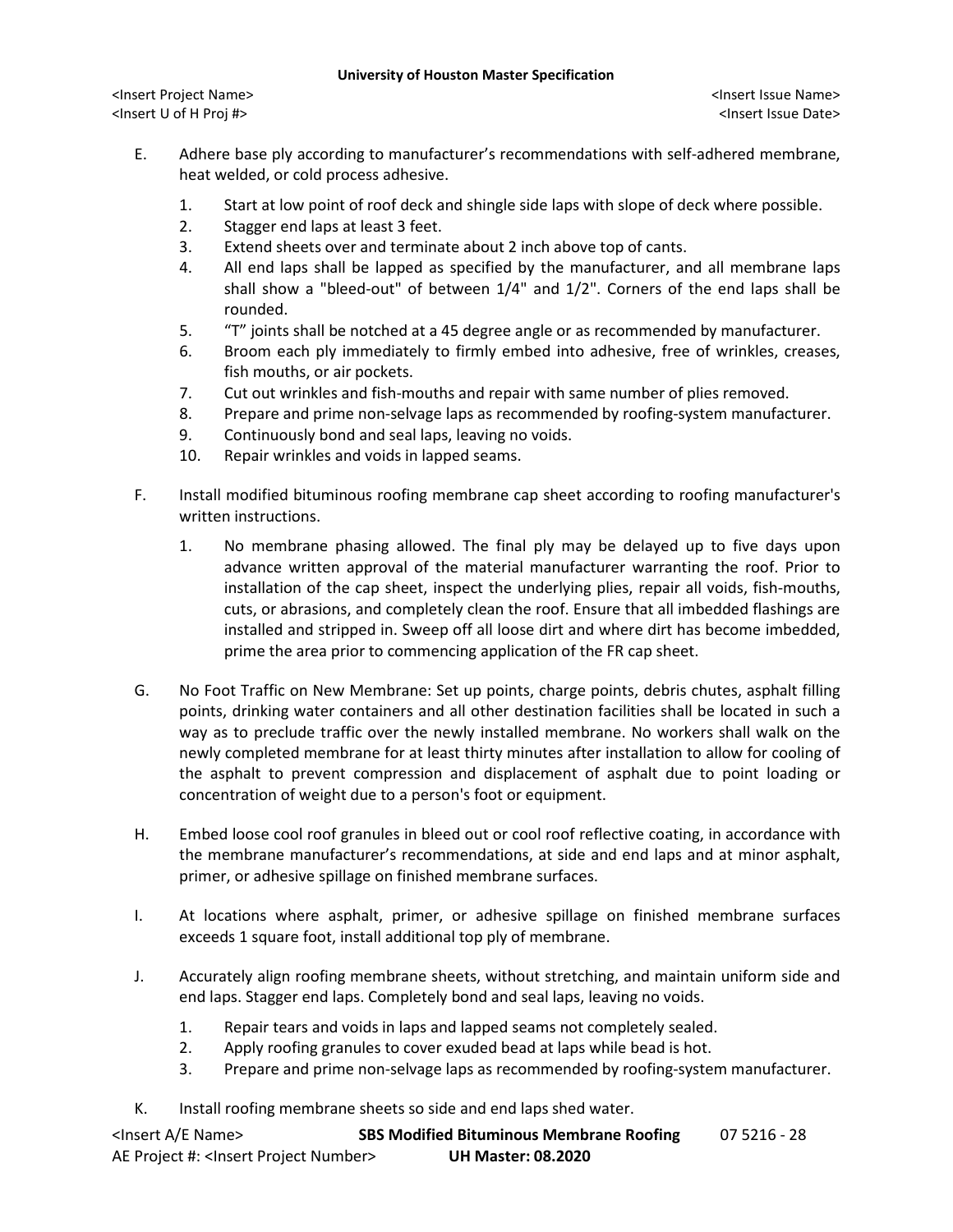**University of Houston Master Specification**

- E. Adhere base ply according to manufacturer's recommendations with self-adhered membrane, heat welded, or cold process adhesive.
	- 1. Start at low point of roof deck and shingle side laps with slope of deck where possible.
	- 2. Stagger end laps at least 3 feet.
	- 3. Extend sheets over and terminate about 2 inch above top of cants.
	- 4. All end laps shall be lapped as specified by the manufacturer, and all membrane laps shall show a "bleed-out" of between 1/4" and 1/2". Corners of the end laps shall be rounded.
	- 5. "T" joints shall be notched at a 45 degree angle or as recommended by manufacturer.
	- 6. Broom each ply immediately to firmly embed into adhesive, free of wrinkles, creases, fish mouths, or air pockets.
	- 7. Cut out wrinkles and fish-mouths and repair with same number of plies removed.
	- 8. Prepare and prime non-selvage laps as recommended by roofing-system manufacturer.
	- 9. Continuously bond and seal laps, leaving no voids.
	- 10. Repair wrinkles and voids in lapped seams.
- F. Install modified bituminous roofing membrane cap sheet according to roofing manufacturer's written instructions.
	- 1. No membrane phasing allowed. The final ply may be delayed up to five days upon advance written approval of the material manufacturer warranting the roof. Prior to installation of the cap sheet, inspect the underlying plies, repair all voids, fish-mouths, cuts, or abrasions, and completely clean the roof. Ensure that all imbedded flashings are installed and stripped in. Sweep off all loose dirt and where dirt has become imbedded, prime the area prior to commencing application of the FR cap sheet.
- G. No Foot Traffic on New Membrane: Set up points, charge points, debris chutes, asphalt filling points, drinking water containers and all other destination facilities shall be located in such a way as to preclude traffic over the newly installed membrane. No workers shall walk on the newly completed membrane for at least thirty minutes after installation to allow for cooling of the asphalt to prevent compression and displacement of asphalt due to point loading or concentration of weight due to a person's foot or equipment.
- H. Embed loose cool roof granules in bleed out or cool roof reflective coating, in accordance with the membrane manufacturer's recommendations, at side and end laps and at minor asphalt, primer, or adhesive spillage on finished membrane surfaces.
- I. At locations where asphalt, primer, or adhesive spillage on finished membrane surfaces exceeds 1 square foot, install additional top ply of membrane.
- J. Accurately align roofing membrane sheets, without stretching, and maintain uniform side and end laps. Stagger end laps. Completely bond and seal laps, leaving no voids.
	- 1. Repair tears and voids in laps and lapped seams not completely sealed.
	- 2. Apply roofing granules to cover exuded bead at laps while bead is hot.
	- 3. Prepare and prime non-selvage laps as recommended by roofing-system manufacturer.
- K. Install roofing membrane sheets so side and end laps shed water.

| <lnsert a="" e="" name=""></lnsert>                  | <b>SBS Modified Bituminous Membrane Roofing</b> | 07 5216 - 28 |
|------------------------------------------------------|-------------------------------------------------|--------------|
| AE Project #: <lnsert number="" project=""></lnsert> | <b>UH Master: 08.2020</b>                       |              |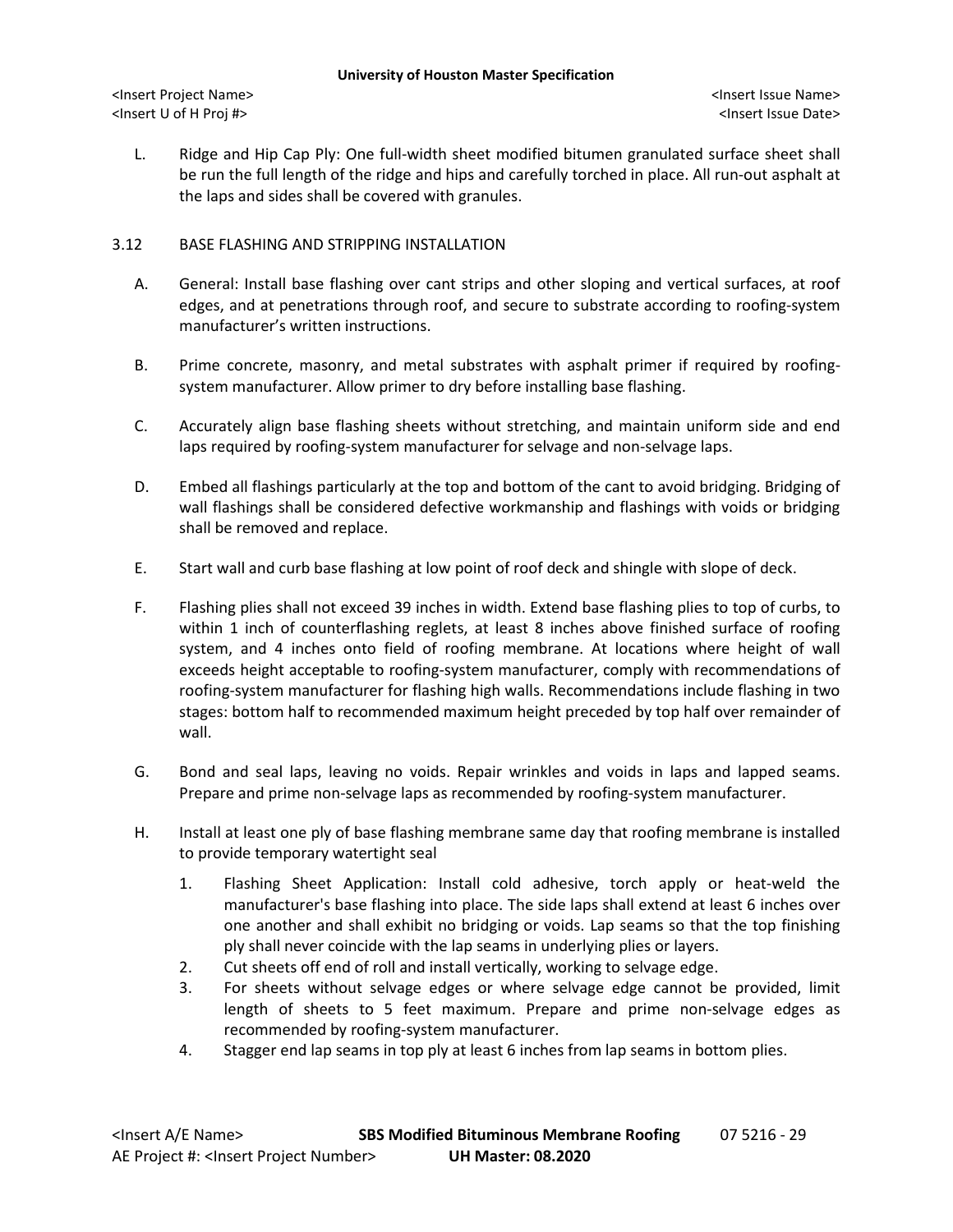L. Ridge and Hip Cap Ply: One full-width sheet modified bitumen granulated surface sheet shall be run the full length of the ridge and hips and carefully torched in place. All run-out asphalt at the laps and sides shall be covered with granules.

# 3.12 BASE FLASHING AND STRIPPING INSTALLATION

- A. General: Install base flashing over cant strips and other sloping and vertical surfaces, at roof edges, and at penetrations through roof, and secure to substrate according to roofing-system manufacturer's written instructions.
- B. Prime concrete, masonry, and metal substrates with asphalt primer if required by roofingsystem manufacturer. Allow primer to dry before installing base flashing.
- C. Accurately align base flashing sheets without stretching, and maintain uniform side and end laps required by roofing-system manufacturer for selvage and non-selvage laps.
- D. Embed all flashings particularly at the top and bottom of the cant to avoid bridging. Bridging of wall flashings shall be considered defective workmanship and flashings with voids or bridging shall be removed and replace.
- E. Start wall and curb base flashing at low point of roof deck and shingle with slope of deck.
- F. Flashing plies shall not exceed 39 inches in width. Extend base flashing plies to top of curbs, to within 1 inch of counterflashing reglets, at least 8 inches above finished surface of roofing system, and 4 inches onto field of roofing membrane. At locations where height of wall exceeds height acceptable to roofing-system manufacturer, comply with recommendations of roofing-system manufacturer for flashing high walls. Recommendations include flashing in two stages: bottom half to recommended maximum height preceded by top half over remainder of wall.
- G. Bond and seal laps, leaving no voids. Repair wrinkles and voids in laps and lapped seams. Prepare and prime non-selvage laps as recommended by roofing-system manufacturer.
- H. Install at least one ply of base flashing membrane same day that roofing membrane is installed to provide temporary watertight seal
	- 1. Flashing Sheet Application: Install cold adhesive, torch apply or heat-weld the manufacturer's base flashing into place. The side laps shall extend at least 6 inches over one another and shall exhibit no bridging or voids. Lap seams so that the top finishing ply shall never coincide with the lap seams in underlying plies or layers.
	- 2. Cut sheets off end of roll and install vertically, working to selvage edge.
	- 3. For sheets without selvage edges or where selvage edge cannot be provided, limit length of sheets to 5 feet maximum. Prepare and prime non-selvage edges as recommended by roofing-system manufacturer.
	- 4. Stagger end lap seams in top ply at least 6 inches from lap seams in bottom plies.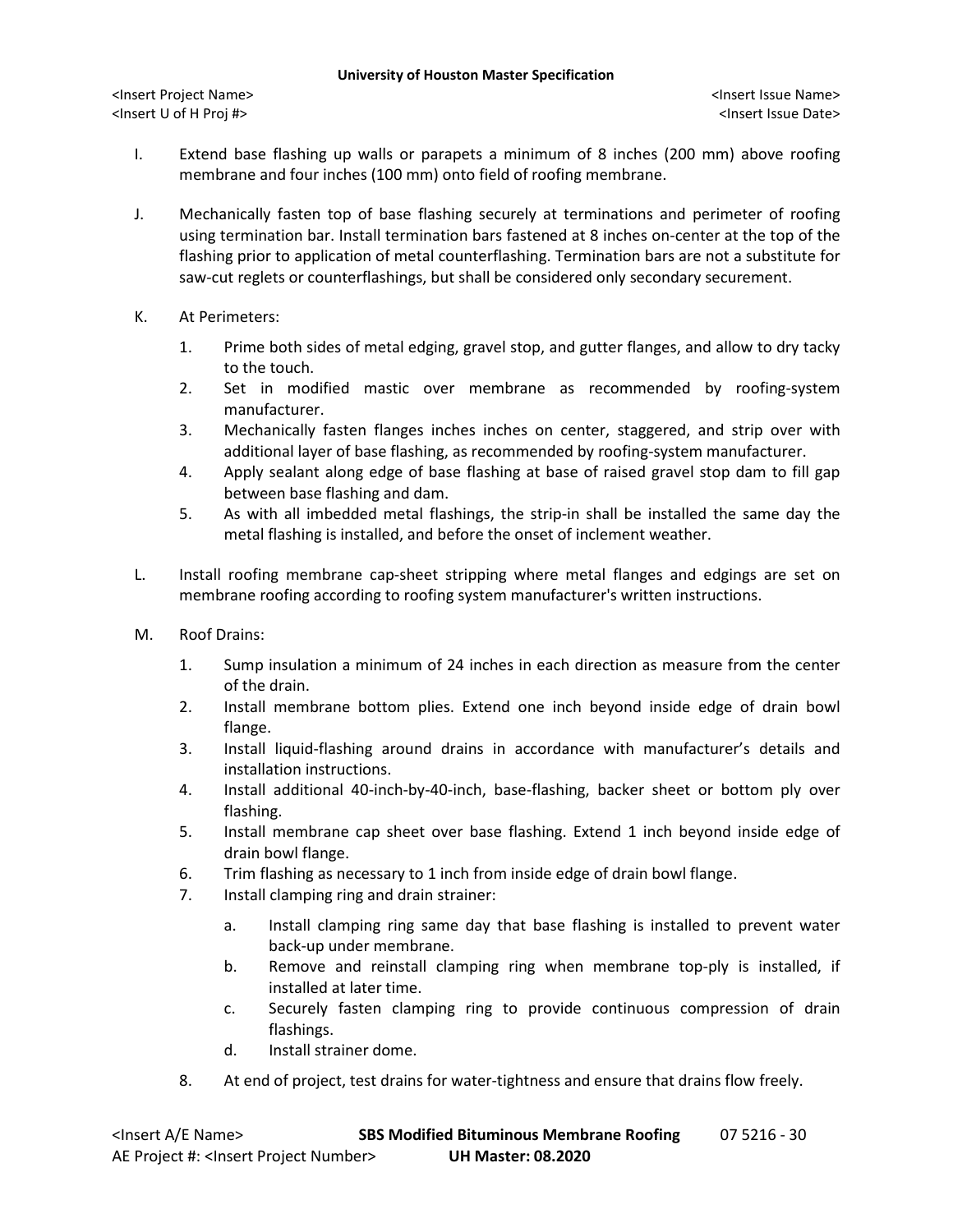- I. Extend base flashing up walls or parapets a minimum of 8 inches (200 mm) above roofing membrane and four inches (100 mm) onto field of roofing membrane.
- J. Mechanically fasten top of base flashing securely at terminations and perimeter of roofing using termination bar. Install termination bars fastened at 8 inches on-center at the top of the flashing prior to application of metal counterflashing. Termination bars are not a substitute for saw-cut reglets or counterflashings, but shall be considered only secondary securement.
- K. At Perimeters:
	- 1. Prime both sides of metal edging, gravel stop, and gutter flanges, and allow to dry tacky to the touch.
	- 2. Set in modified mastic over membrane as recommended by roofing-system manufacturer.
	- 3. Mechanically fasten flanges inches inches on center, staggered, and strip over with additional layer of base flashing, as recommended by roofing-system manufacturer.
	- 4. Apply sealant along edge of base flashing at base of raised gravel stop dam to fill gap between base flashing and dam.
	- 5. As with all imbedded metal flashings, the strip-in shall be installed the same day the metal flashing is installed, and before the onset of inclement weather.
- L. Install roofing membrane cap-sheet stripping where metal flanges and edgings are set on membrane roofing according to roofing system manufacturer's written instructions.
- M. Roof Drains:
	- 1. Sump insulation a minimum of 24 inches in each direction as measure from the center of the drain.
	- 2. Install membrane bottom plies. Extend one inch beyond inside edge of drain bowl flange.
	- 3. Install liquid-flashing around drains in accordance with manufacturer's details and installation instructions.
	- 4. Install additional 40-inch-by-40-inch, base-flashing, backer sheet or bottom ply over flashing.
	- 5. Install membrane cap sheet over base flashing. Extend 1 inch beyond inside edge of drain bowl flange.
	- 6. Trim flashing as necessary to 1 inch from inside edge of drain bowl flange.
	- 7. Install clamping ring and drain strainer:
		- a. Install clamping ring same day that base flashing is installed to prevent water back-up under membrane.
		- b. Remove and reinstall clamping ring when membrane top-ply is installed, if installed at later time.
		- c. Securely fasten clamping ring to provide continuous compression of drain flashings.
		- d. Install strainer dome.
	- 8. At end of project, test drains for water-tightness and ensure that drains flow freely.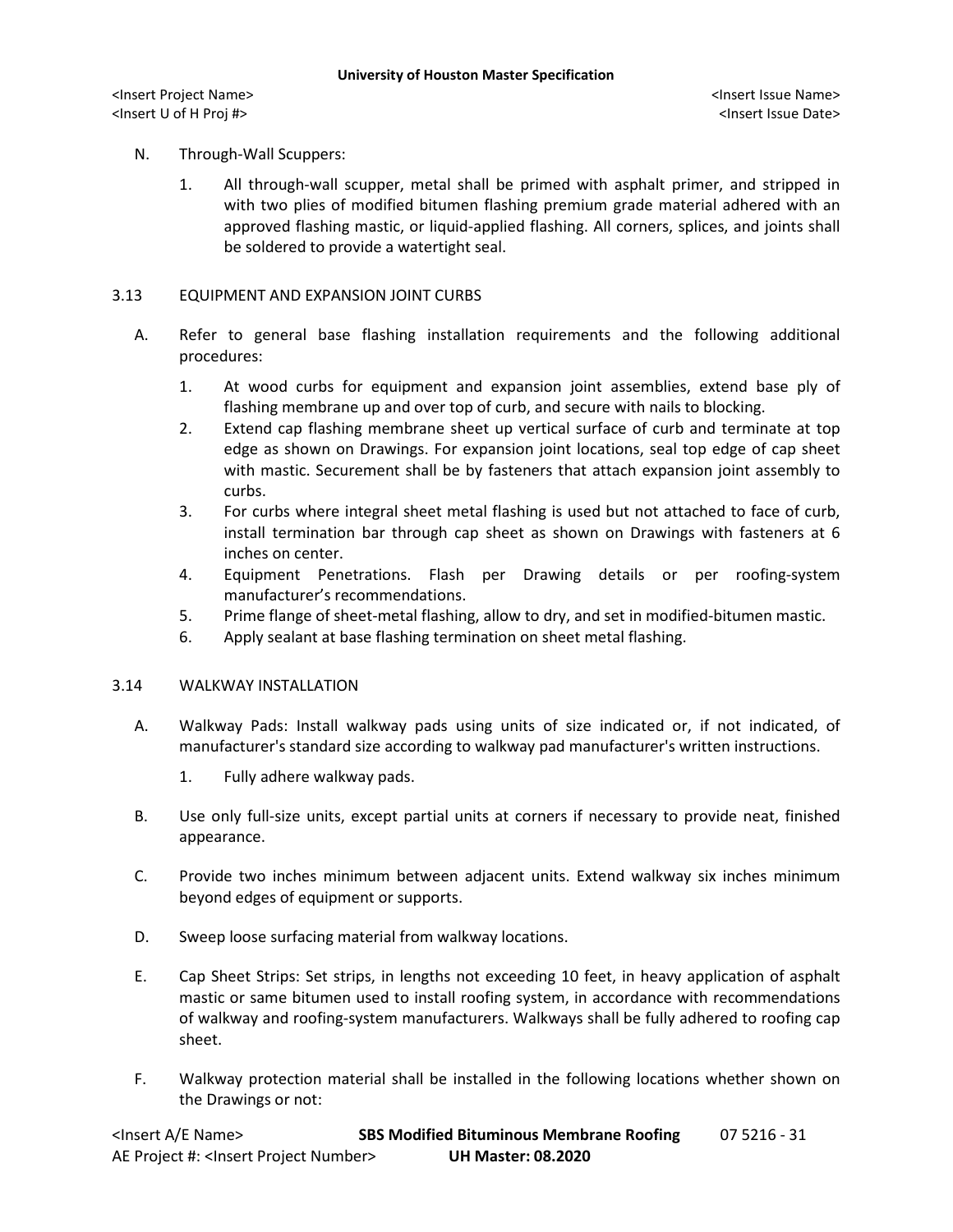# N. Through-Wall Scuppers:

1. All through-wall scupper, metal shall be primed with asphalt primer, and stripped in with two plies of modified bitumen flashing premium grade material adhered with an approved flashing mastic, or liquid-applied flashing. All corners, splices, and joints shall be soldered to provide a watertight seal.

### 3.13 EQUIPMENT AND EXPANSION JOINT CURBS

- A. Refer to general base flashing installation requirements and the following additional procedures:
	- 1. At wood curbs for equipment and expansion joint assemblies, extend base ply of flashing membrane up and over top of curb, and secure with nails to blocking.
	- 2. Extend cap flashing membrane sheet up vertical surface of curb and terminate at top edge as shown on Drawings. For expansion joint locations, seal top edge of cap sheet with mastic. Securement shall be by fasteners that attach expansion joint assembly to curbs.
	- 3. For curbs where integral sheet metal flashing is used but not attached to face of curb, install termination bar through cap sheet as shown on Drawings with fasteners at 6 inches on center.
	- 4. Equipment Penetrations. Flash per Drawing details or per roofing-system manufacturer's recommendations.
	- 5. Prime flange of sheet-metal flashing, allow to dry, and set in modified-bitumen mastic.
	- 6. Apply sealant at base flashing termination on sheet metal flashing.

### 3.14 WALKWAY INSTALLATION

- A. Walkway Pads: Install walkway pads using units of size indicated or, if not indicated, of manufacturer's standard size according to walkway pad manufacturer's written instructions.
	- 1. Fully adhere walkway pads.
- B. Use only full-size units, except partial units at corners if necessary to provide neat, finished appearance.
- C. Provide two inches minimum between adjacent units. Extend walkway six inches minimum beyond edges of equipment or supports.
- D. Sweep loose surfacing material from walkway locations.
- E. Cap Sheet Strips: Set strips, in lengths not exceeding 10 feet, in heavy application of asphalt mastic or same bitumen used to install roofing system, in accordance with recommendations of walkway and roofing-system manufacturers. Walkways shall be fully adhered to roofing cap sheet.
- F. Walkway protection material shall be installed in the following locations whether shown on the Drawings or not: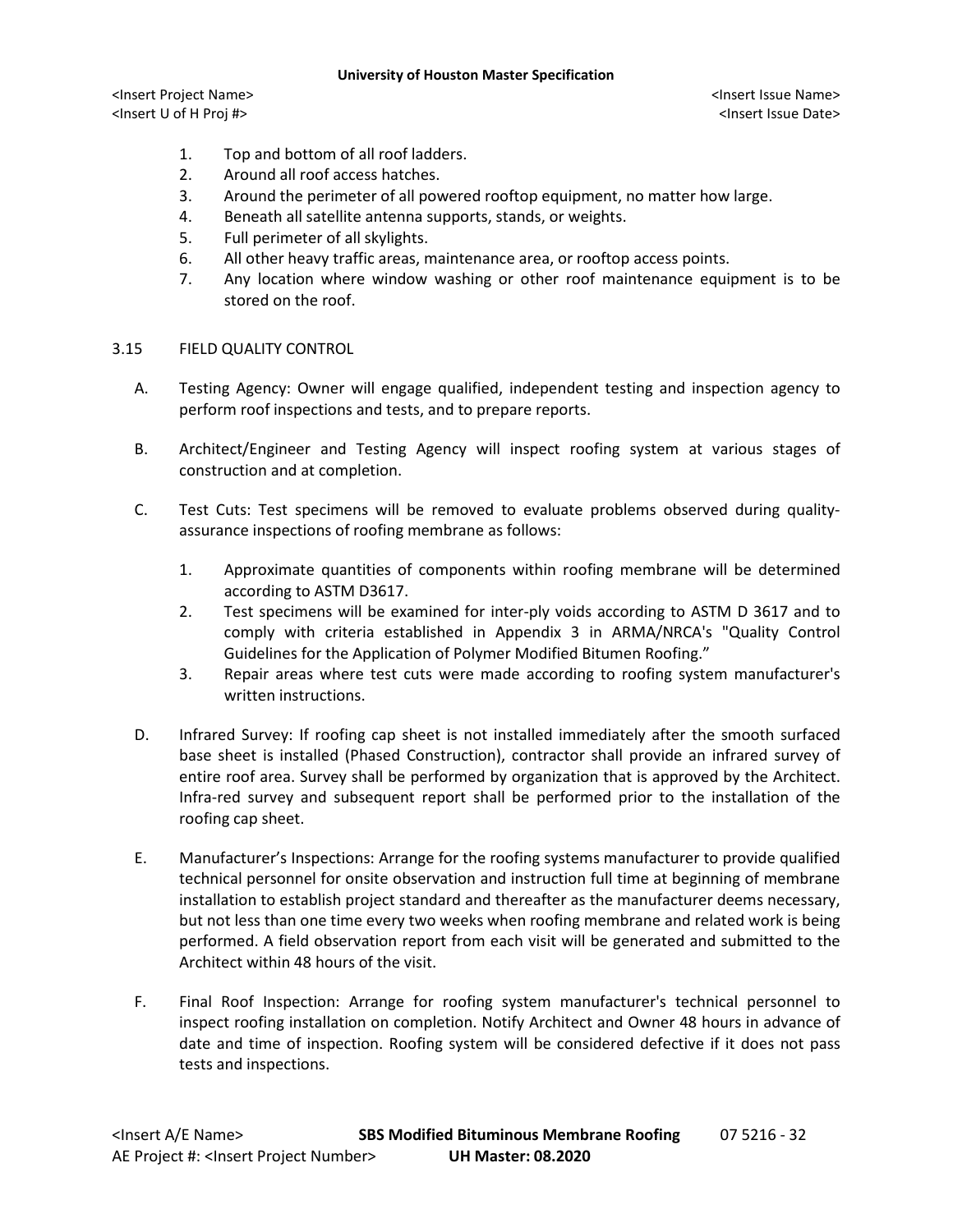#### **University of Houston Master Specification**

<Insert Project Name> <Insert Issue Name> <Insert U of H Proj #> <Insert Issue Date>

- 1. Top and bottom of all roof ladders.
- 2. Around all roof access hatches.
- 3. Around the perimeter of all powered rooftop equipment, no matter how large.
- 4. Beneath all satellite antenna supports, stands, or weights.
- 5. Full perimeter of all skylights.
- 6. All other heavy traffic areas, maintenance area, or rooftop access points.
- 7. Any location where window washing or other roof maintenance equipment is to be stored on the roof.
- 3.15 FIELD QUALITY CONTROL
	- A. Testing Agency: Owner will engage qualified, independent testing and inspection agency to perform roof inspections and tests, and to prepare reports.
	- B. Architect/Engineer and Testing Agency will inspect roofing system at various stages of construction and at completion.
	- C. Test Cuts: Test specimens will be removed to evaluate problems observed during qualityassurance inspections of roofing membrane as follows:
		- 1. Approximate quantities of components within roofing membrane will be determined according to ASTM D3617.
		- 2. Test specimens will be examined for inter-ply voids according to ASTM D 3617 and to comply with criteria established in Appendix 3 in ARMA/NRCA's "Quality Control Guidelines for the Application of Polymer Modified Bitumen Roofing."
		- 3. Repair areas where test cuts were made according to roofing system manufacturer's written instructions.
	- D. Infrared Survey: If roofing cap sheet is not installed immediately after the smooth surfaced base sheet is installed (Phased Construction), contractor shall provide an infrared survey of entire roof area. Survey shall be performed by organization that is approved by the Architect. Infra-red survey and subsequent report shall be performed prior to the installation of the roofing cap sheet.
	- E. Manufacturer's Inspections: Arrange for the roofing systems manufacturer to provide qualified technical personnel for onsite observation and instruction full time at beginning of membrane installation to establish project standard and thereafter as the manufacturer deems necessary, but not less than one time every two weeks when roofing membrane and related work is being performed. A field observation report from each visit will be generated and submitted to the Architect within 48 hours of the visit.
	- F. Final Roof Inspection: Arrange for roofing system manufacturer's technical personnel to inspect roofing installation on completion. Notify Architect and Owner 48 hours in advance of date and time of inspection. Roofing system will be considered defective if it does not pass tests and inspections.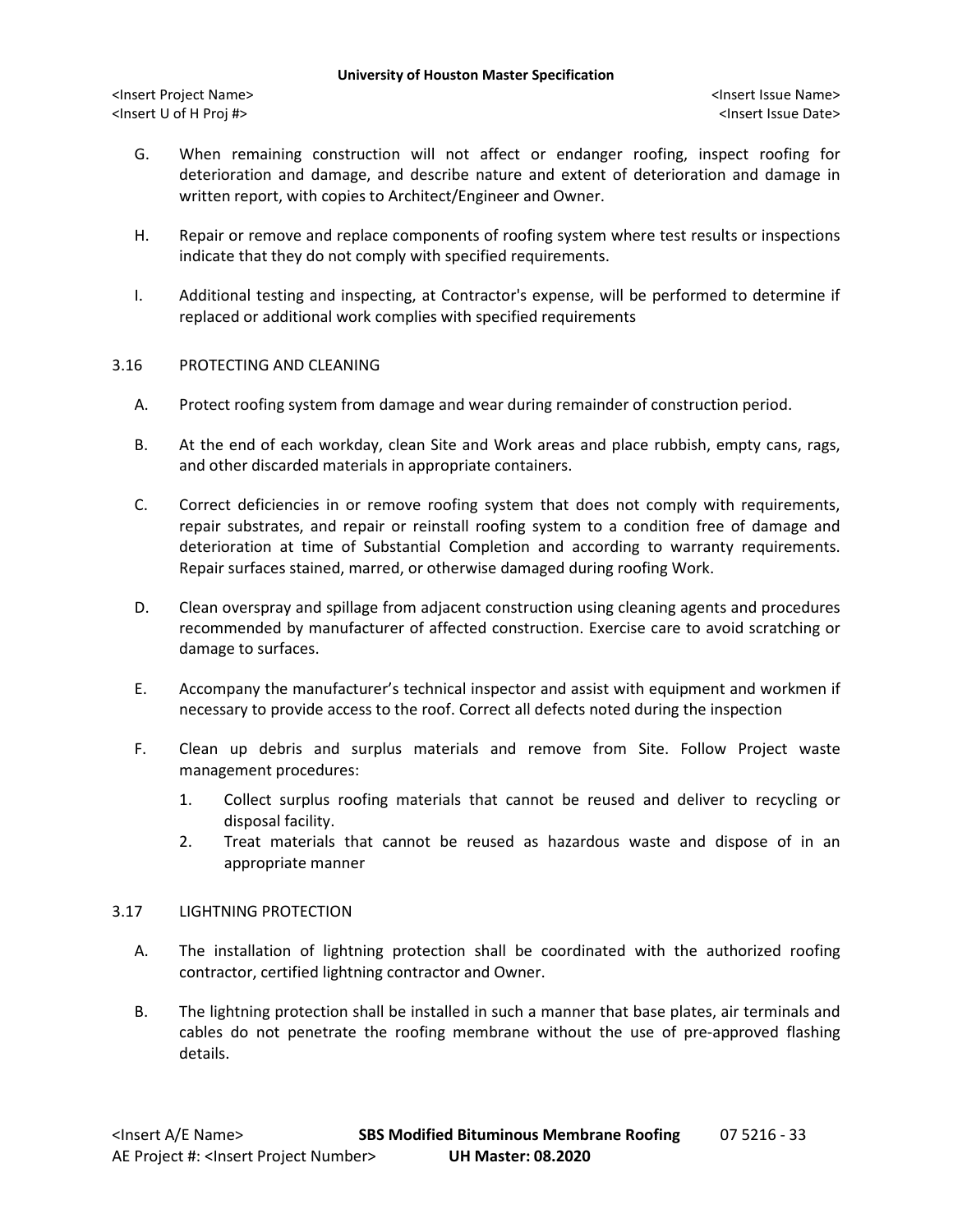- G. When remaining construction will not affect or endanger roofing, inspect roofing for deterioration and damage, and describe nature and extent of deterioration and damage in written report, with copies to Architect/Engineer and Owner.
- H. Repair or remove and replace components of roofing system where test results or inspections indicate that they do not comply with specified requirements.
- I. Additional testing and inspecting, at Contractor's expense, will be performed to determine if replaced or additional work complies with specified requirements

## 3.16 PROTECTING AND CLEANING

- A. Protect roofing system from damage and wear during remainder of construction period.
- B. At the end of each workday, clean Site and Work areas and place rubbish, empty cans, rags, and other discarded materials in appropriate containers.
- C. Correct deficiencies in or remove roofing system that does not comply with requirements, repair substrates, and repair or reinstall roofing system to a condition free of damage and deterioration at time of Substantial Completion and according to warranty requirements. Repair surfaces stained, marred, or otherwise damaged during roofing Work.
- D. Clean overspray and spillage from adjacent construction using cleaning agents and procedures recommended by manufacturer of affected construction. Exercise care to avoid scratching or damage to surfaces.
- E. Accompany the manufacturer's technical inspector and assist with equipment and workmen if necessary to provide access to the roof. Correct all defects noted during the inspection
- F. Clean up debris and surplus materials and remove from Site. Follow Project waste management procedures:
	- 1. Collect surplus roofing materials that cannot be reused and deliver to recycling or disposal facility.
	- 2. Treat materials that cannot be reused as hazardous waste and dispose of in an appropriate manner

### 3.17 LIGHTNING PROTECTION

- A. The installation of lightning protection shall be coordinated with the authorized roofing contractor, certified lightning contractor and Owner.
- B. The lightning protection shall be installed in such a manner that base plates, air terminals and cables do not penetrate the roofing membrane without the use of pre-approved flashing details.